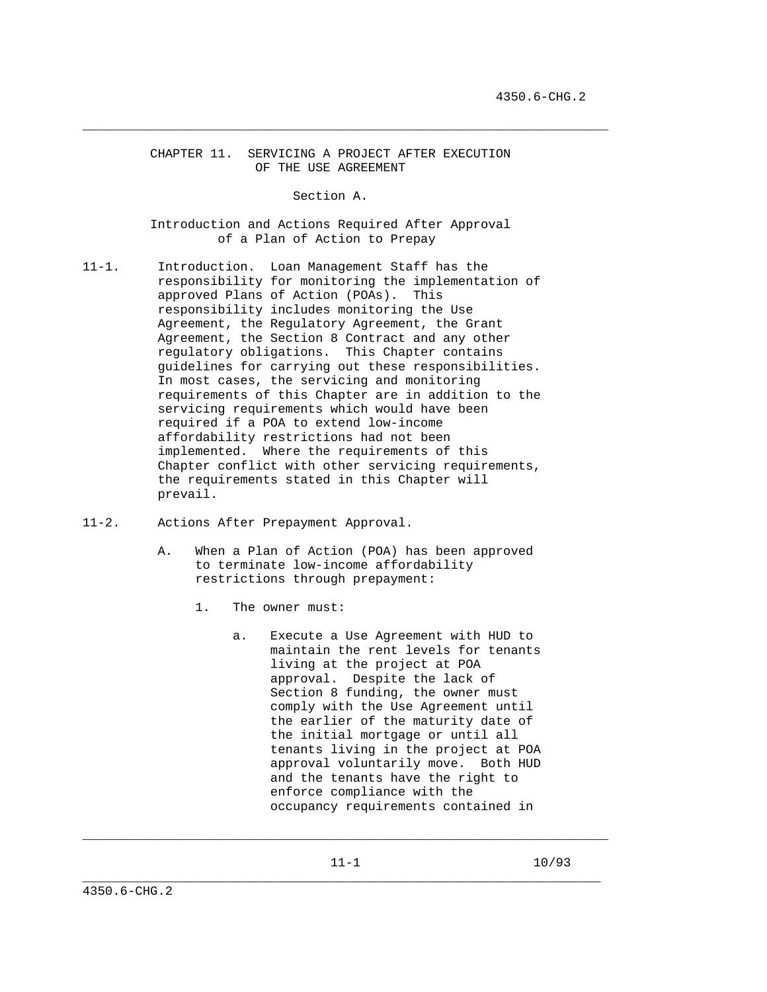CHAPTER 11. SERVICING A PROJECT AFTER EXECUTION OF THE USE AGREEMENT

\_\_\_\_\_\_\_\_\_\_\_\_\_\_\_\_\_\_\_\_\_\_\_\_\_\_\_\_\_\_\_\_\_\_\_\_\_\_\_\_\_\_\_\_\_\_\_\_\_\_\_\_\_\_\_\_\_\_\_\_\_\_\_\_\_\_\_\_\_\_

Section A.

 Introduction and Actions Required After Approval of a Plan of Action to Prepay

- 11-1. Introduction. Loan Management Staff has the responsibility for monitoring the implementation of approved Plans of Action (POAs). This responsibility includes monitoring the Use Agreement, the Regulatory Agreement, the Grant Agreement, the Section 8 Contract and any other regulatory obligations. This Chapter contains guidelines for carrying out these responsibilities. In most cases, the servicing and monitoring requirements of this Chapter are in addition to the servicing requirements which would have been required if a POA to extend low-income affordability restrictions had not been implemented. Where the requirements of this Chapter conflict with other servicing requirements, the requirements stated in this Chapter will prevail.
- 11-2. Actions After Prepayment Approval.
	- A. When a Plan of Action (POA) has been approved to terminate low-income affordability restrictions through prepayment:
		- 1. The owner must:
			- a. Execute a Use Agreement with HUD to maintain the rent levels for tenants living at the project at POA approval. Despite the lack of Section 8 funding, the owner must comply with the Use Agreement until the earlier of the maturity date of the initial mortgage or until all tenants living in the project at POA approval voluntarily move. Both HUD and the tenants have the right to enforce compliance with the occupancy requirements contained in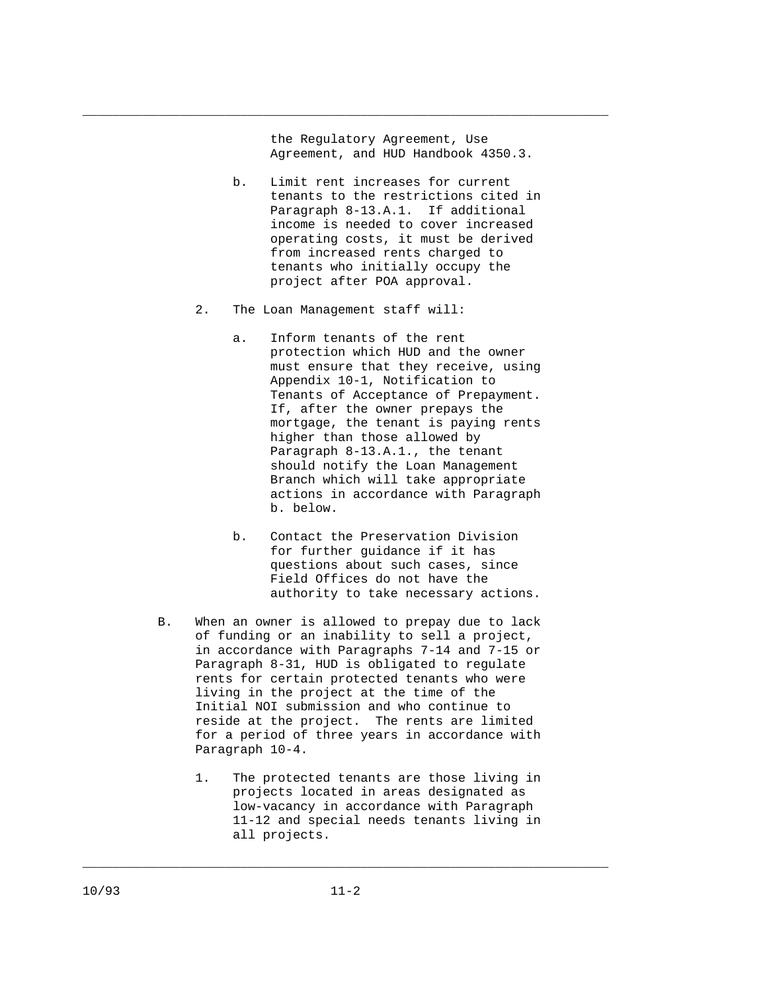the Regulatory Agreement, Use Agreement, and HUD Handbook 4350.3.

\_\_\_\_\_\_\_\_\_\_\_\_\_\_\_\_\_\_\_\_\_\_\_\_\_\_\_\_\_\_\_\_\_\_\_\_\_\_\_\_\_\_\_\_\_\_\_\_\_\_\_\_\_\_\_\_\_\_\_\_\_\_\_\_\_\_\_\_\_\_

- b. Limit rent increases for current tenants to the restrictions cited in Paragraph 8-13.A.1. If additional income is needed to cover increased operating costs, it must be derived from increased rents charged to tenants who initially occupy the project after POA approval.
- 2. The Loan Management staff will:
	- a. Inform tenants of the rent protection which HUD and the owner must ensure that they receive, using Appendix 10-1, Notification to Tenants of Acceptance of Prepayment. If, after the owner prepays the mortgage, the tenant is paying rents higher than those allowed by Paragraph 8-13.A.1., the tenant should notify the Loan Management Branch which will take appropriate actions in accordance with Paragraph b. below.
	- b. Contact the Preservation Division for further guidance if it has questions about such cases, since Field Offices do not have the authority to take necessary actions.
- B. When an owner is allowed to prepay due to lack of funding or an inability to sell a project, in accordance with Paragraphs 7-14 and 7-15 or Paragraph 8-31, HUD is obligated to regulate rents for certain protected tenants who were living in the project at the time of the Initial NOI submission and who continue to reside at the project. The rents are limited for a period of three years in accordance with Paragraph 10-4.
	- 1. The protected tenants are those living in projects located in areas designated as low-vacancy in accordance with Paragraph 11-12 and special needs tenants living in all projects.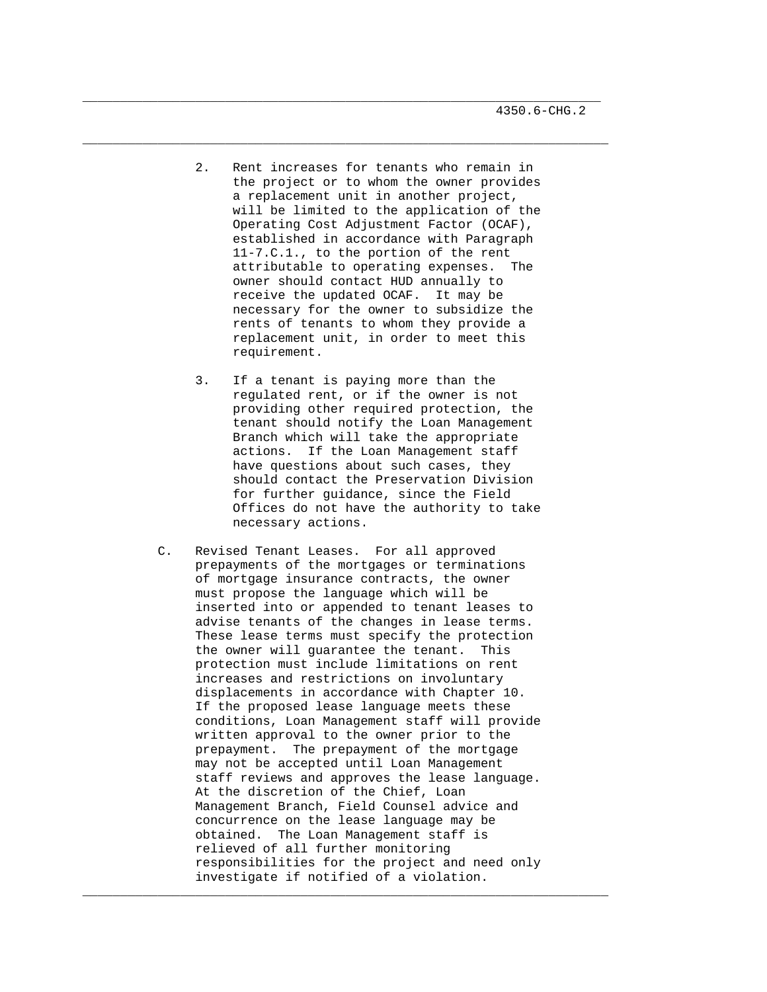2. Rent increases for tenants who remain in the project or to whom the owner provides a replacement unit in another project, will be limited to the application of the Operating Cost Adjustment Factor (OCAF), established in accordance with Paragraph 11-7.C.1., to the portion of the rent attributable to operating expenses. The owner should contact HUD annually to receive the updated OCAF. It may be necessary for the owner to subsidize the rents of tenants to whom they provide a replacement unit, in order to meet this requirement.

\_\_\_\_\_\_\_\_\_\_\_\_\_\_\_\_\_\_\_\_\_\_\_\_\_\_\_\_\_\_\_\_\_\_\_\_\_\_\_\_\_\_\_\_\_\_\_\_\_\_\_\_\_\_\_\_\_\_\_\_\_\_\_\_\_\_\_\_\_

\_\_\_\_\_\_\_\_\_\_\_\_\_\_\_\_\_\_\_\_\_\_\_\_\_\_\_\_\_\_\_\_\_\_\_\_\_\_\_\_\_\_\_\_\_\_\_\_\_\_\_\_\_\_\_\_\_\_\_\_\_\_\_\_\_\_\_\_\_\_

- 3. If a tenant is paying more than the regulated rent, or if the owner is not providing other required protection, the tenant should notify the Loan Management Branch which will take the appropriate actions. If the Loan Management staff have questions about such cases, they should contact the Preservation Division for further guidance, since the Field Offices do not have the authority to take necessary actions.
- C. Revised Tenant Leases. For all approved prepayments of the mortgages or terminations of mortgage insurance contracts, the owner must propose the language which will be inserted into or appended to tenant leases to advise tenants of the changes in lease terms. These lease terms must specify the protection the owner will guarantee the tenant. This protection must include limitations on rent increases and restrictions on involuntary displacements in accordance with Chapter 10. If the proposed lease language meets these conditions, Loan Management staff will provide written approval to the owner prior to the prepayment. The prepayment of the mortgage may not be accepted until Loan Management staff reviews and approves the lease language. At the discretion of the Chief, Loan Management Branch, Field Counsel advice and concurrence on the lease language may be obtained. The Loan Management staff is relieved of all further monitoring responsibilities for the project and need only investigate if notified of a violation.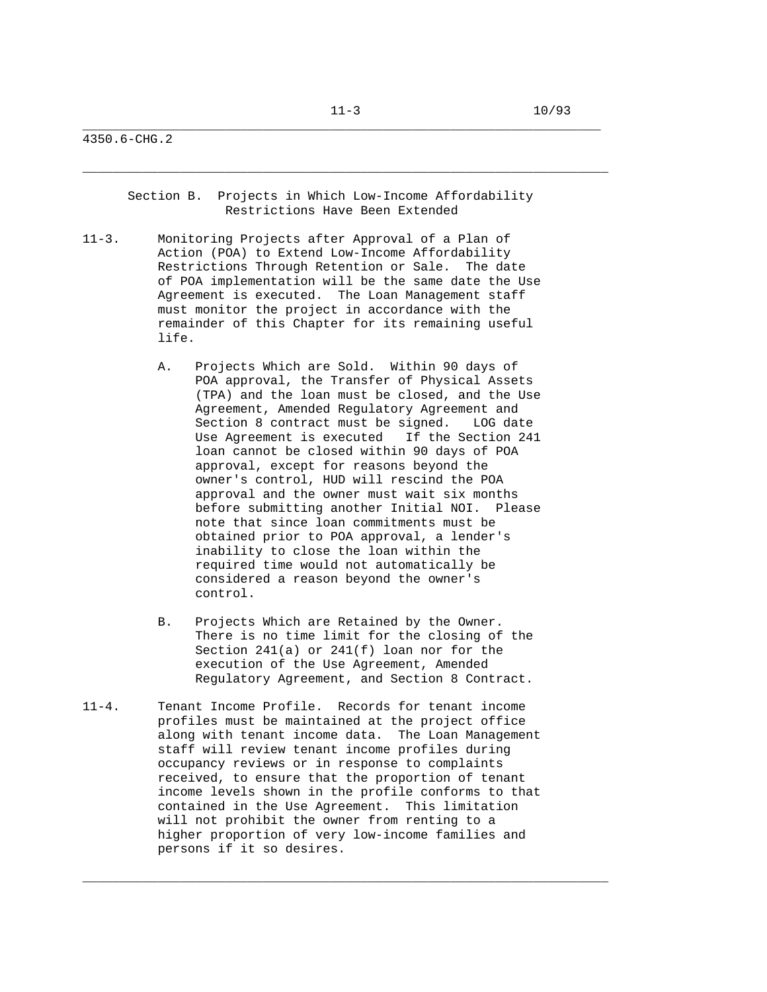4350.6-CHG.2

 Section B. Projects in Which Low-Income Affordability Restrictions Have Been Extended

- 11-3. Monitoring Projects after Approval of a Plan of Action (POA) to Extend Low-Income Affordability Restrictions Through Retention or Sale. The date of POA implementation will be the same date the Use Agreement is executed. The Loan Management staff must monitor the project in accordance with the remainder of this Chapter for its remaining useful life.
	- A. Projects Which are Sold. Within 90 days of POA approval, the Transfer of Physical Assets (TPA) and the loan must be closed, and the Use Agreement, Amended Regulatory Agreement and Section 8 contract must be signed. LOG date Use Agreement is executed If the Section 241 loan cannot be closed within 90 days of POA approval, except for reasons beyond the owner's control, HUD will rescind the POA approval and the owner must wait six months before submitting another Initial NOI. Please note that since loan commitments must be obtained prior to POA approval, a lender's inability to close the loan within the required time would not automatically be considered a reason beyond the owner's control.
	- B. Projects Which are Retained by the Owner. There is no time limit for the closing of the Section 241(a) or 241(f) loan nor for the execution of the Use Agreement, Amended Regulatory Agreement, and Section 8 Contract.

\_\_\_\_\_\_\_\_\_\_\_\_\_\_\_\_\_\_\_\_\_\_\_\_\_\_\_\_\_\_\_\_\_\_\_\_\_\_\_\_\_\_\_\_\_\_\_\_\_\_\_\_\_\_\_\_\_\_\_\_\_\_\_\_\_\_\_\_\_\_

11-4. Tenant Income Profile. Records for tenant income profiles must be maintained at the project office along with tenant income data. The Loan Management staff will review tenant income profiles during occupancy reviews or in response to complaints received, to ensure that the proportion of tenant income levels shown in the profile conforms to that contained in the Use Agreement. This limitation will not prohibit the owner from renting to a higher proportion of very low-income families and persons if it so desires.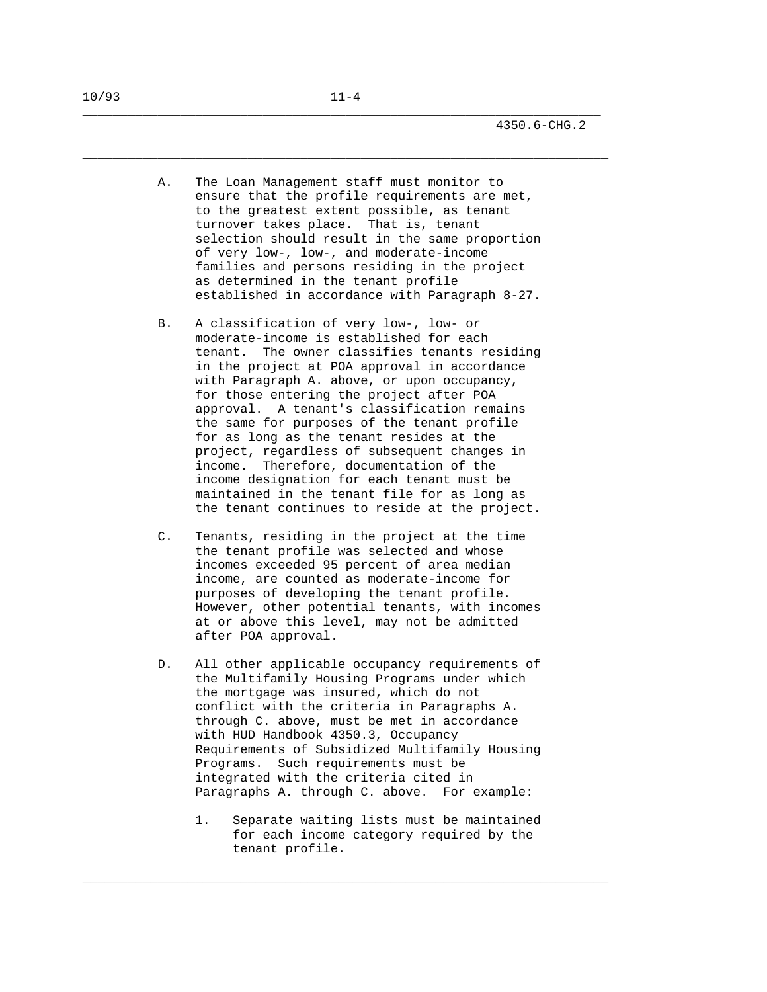A. The Loan Management staff must monitor to ensure that the profile requirements are met, to the greatest extent possible, as tenant turnover takes place. That is, tenant selection should result in the same proportion of very low-, low-, and moderate-income families and persons residing in the project as determined in the tenant profile established in accordance with Paragraph 8-27.

\_\_\_\_\_\_\_\_\_\_\_\_\_\_\_\_\_\_\_\_\_\_\_\_\_\_\_\_\_\_\_\_\_\_\_\_\_\_\_\_\_\_\_\_\_\_\_\_\_\_\_\_\_\_\_\_\_\_\_\_\_\_\_\_\_\_\_\_\_

\_\_\_\_\_\_\_\_\_\_\_\_\_\_\_\_\_\_\_\_\_\_\_\_\_\_\_\_\_\_\_\_\_\_\_\_\_\_\_\_\_\_\_\_\_\_\_\_\_\_\_\_\_\_\_\_\_\_\_\_\_\_\_\_\_\_\_\_\_\_

- B. A classification of very low-, low- or moderate-income is established for each tenant. The owner classifies tenants residing in the project at POA approval in accordance with Paragraph A. above, or upon occupancy, for those entering the project after POA approval. A tenant's classification remains the same for purposes of the tenant profile for as long as the tenant resides at the project, regardless of subsequent changes in income. Therefore, documentation of the income designation for each tenant must be maintained in the tenant file for as long as the tenant continues to reside at the project.
- C. Tenants, residing in the project at the time the tenant profile was selected and whose incomes exceeded 95 percent of area median income, are counted as moderate-income for purposes of developing the tenant profile. However, other potential tenants, with incomes at or above this level, may not be admitted after POA approval.
- D. All other applicable occupancy requirements of the Multifamily Housing Programs under which the mortgage was insured, which do not conflict with the criteria in Paragraphs A. through C. above, must be met in accordance with HUD Handbook 4350.3, Occupancy Requirements of Subsidized Multifamily Housing Programs. Such requirements must be integrated with the criteria cited in Paragraphs A. through C. above. For example:
	- 1. Separate waiting lists must be maintained for each income category required by the tenant profile.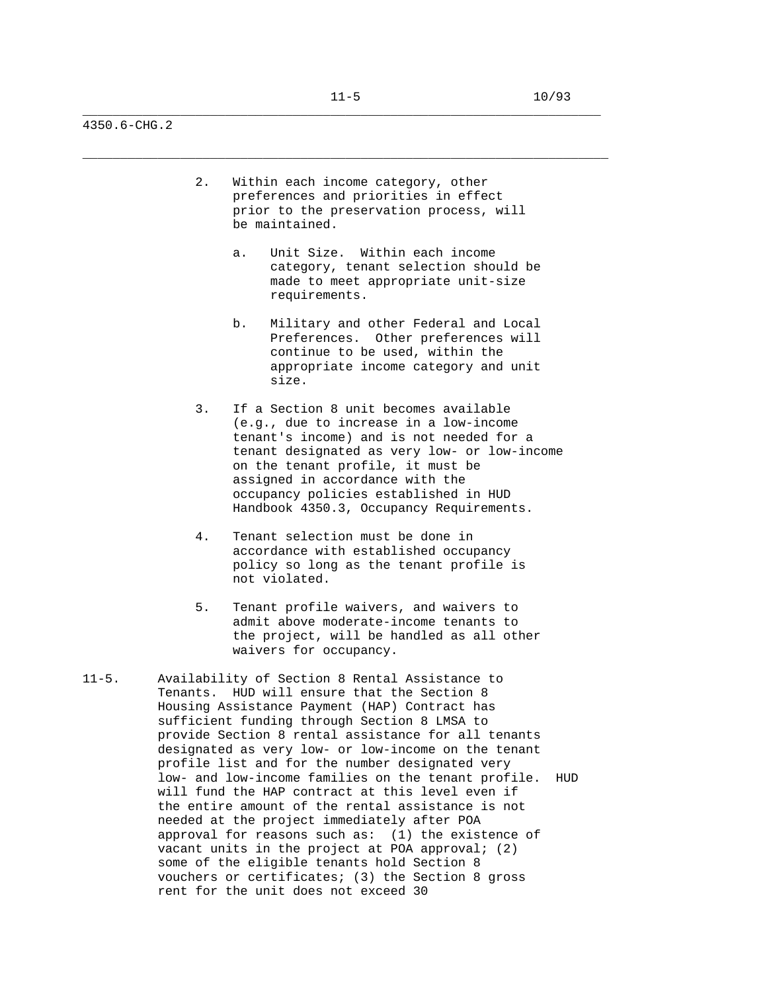4350.6-CHG.2

- 2. Within each income category, other preferences and priorities in effect prior to the preservation process, will be maintained.
	- a. Unit Size. Within each income category, tenant selection should be made to meet appropriate unit-size requirements.
	- b. Military and other Federal and Local Preferences. Other preferences will continue to be used, within the appropriate income category and unit size.
- 3. If a Section 8 unit becomes available (e.g., due to increase in a low-income tenant's income) and is not needed for a tenant designated as very low- or low-income on the tenant profile, it must be assigned in accordance with the occupancy policies established in HUD Handbook 4350.3, Occupancy Requirements.
- 4. Tenant selection must be done in accordance with established occupancy policy so long as the tenant profile is not violated.
- 5. Tenant profile waivers, and waivers to admit above moderate-income tenants to the project, will be handled as all other waivers for occupancy.
- 11-5. Availability of Section 8 Rental Assistance to Tenants. HUD will ensure that the Section 8 Housing Assistance Payment (HAP) Contract has sufficient funding through Section 8 LMSA to provide Section 8 rental assistance for all tenants designated as very low- or low-income on the tenant profile list and for the number designated very low- and low-income families on the tenant profile. HUD will fund the HAP contract at this level even if the entire amount of the rental assistance is not needed at the project immediately after POA approval for reasons such as: (1) the existence of vacant units in the project at POA approval; (2) some of the eligible tenants hold Section 8 vouchers or certificates; (3) the Section 8 gross rent for the unit does not exceed 30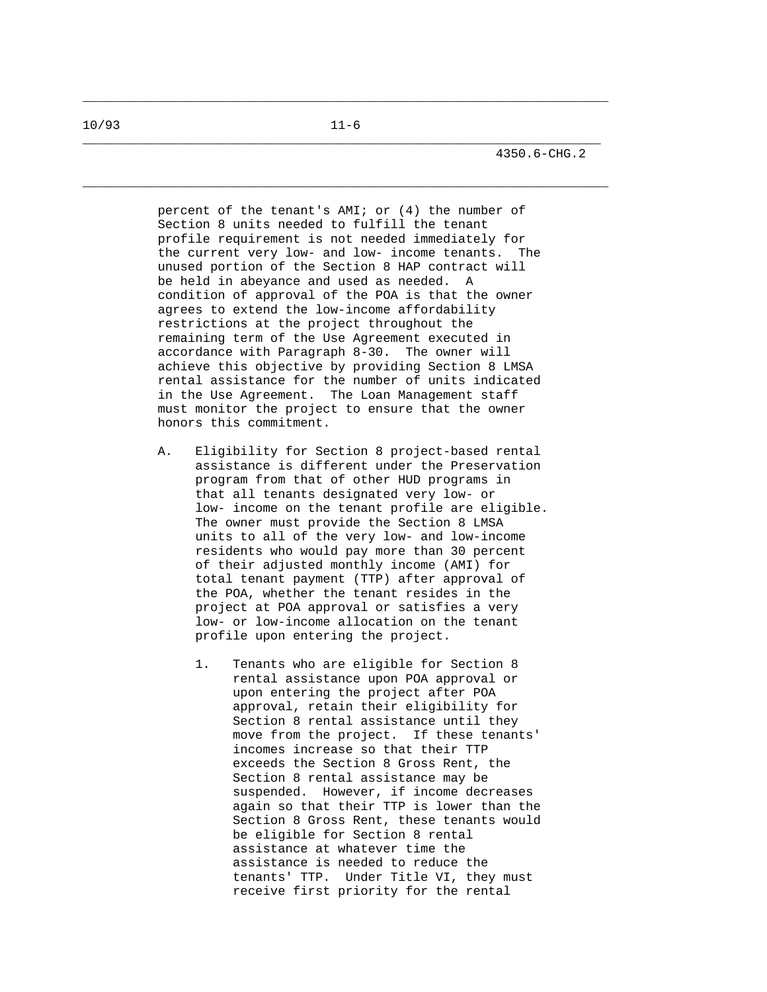\_\_\_\_\_\_\_\_\_\_\_\_\_\_\_\_\_\_\_\_\_\_\_\_\_\_\_\_\_\_\_\_\_\_\_\_\_\_\_\_\_\_\_\_\_\_\_\_\_\_\_\_\_\_\_\_\_\_\_\_\_\_\_\_\_\_\_\_\_\_

 percent of the tenant's AMI; or (4) the number of Section 8 units needed to fulfill the tenant profile requirement is not needed immediately for the current very low- and low- income tenants. The unused portion of the Section 8 HAP contract will be held in abeyance and used as needed. A condition of approval of the POA is that the owner agrees to extend the low-income affordability restrictions at the project throughout the remaining term of the Use Agreement executed in accordance with Paragraph 8-30. The owner will achieve this objective by providing Section 8 LMSA rental assistance for the number of units indicated in the Use Agreement. The Loan Management staff must monitor the project to ensure that the owner honors this commitment.

- A. Eligibility for Section 8 project-based rental assistance is different under the Preservation program from that of other HUD programs in that all tenants designated very low- or low- income on the tenant profile are eligible. The owner must provide the Section 8 LMSA units to all of the very low- and low-income residents who would pay more than 30 percent of their adjusted monthly income (AMI) for total tenant payment (TTP) after approval of the POA, whether the tenant resides in the project at POA approval or satisfies a very low- or low-income allocation on the tenant profile upon entering the project.
	- 1. Tenants who are eligible for Section 8 rental assistance upon POA approval or upon entering the project after POA approval, retain their eligibility for Section 8 rental assistance until they move from the project. If these tenants' incomes increase so that their TTP exceeds the Section 8 Gross Rent, the Section 8 rental assistance may be suspended. However, if income decreases again so that their TTP is lower than the Section 8 Gross Rent, these tenants would be eligible for Section 8 rental assistance at whatever time the assistance is needed to reduce the tenants' TTP. Under Title VI, they must receive first priority for the rental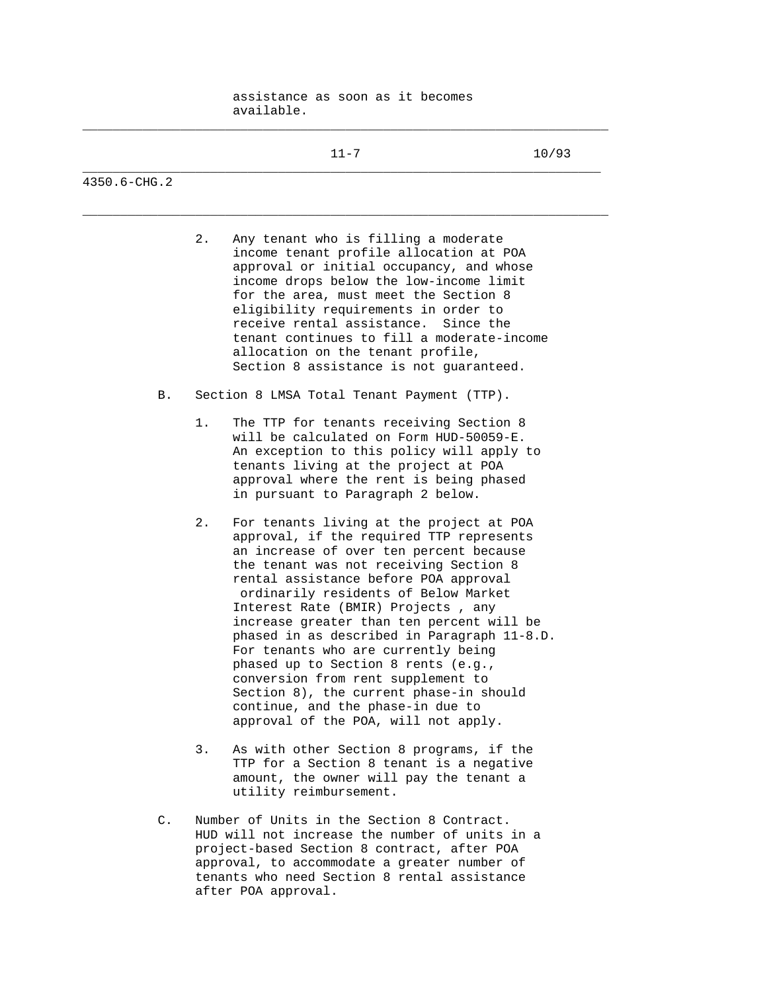assistance as soon as it becomes available.

|              |    | $11 - 7$                                                                        | 10/93 |
|--------------|----|---------------------------------------------------------------------------------|-------|
| 4350.6-CHG.2 |    |                                                                                 |       |
|              | 2. | Any tenant who is filling a moderate<br>income tenant profile allocation at POA |       |

- income tenant profile allocation at POA approval or initial occupancy, and whose income drops below the low-income limit for the area, must meet the Section 8 eligibility requirements in order to receive rental assistance. Since the tenant continues to fill a moderate-income allocation on the tenant profile, Section 8 assistance is not guaranteed.
- B. Section 8 LMSA Total Tenant Payment (TTP).
	- 1. The TTP for tenants receiving Section 8 will be calculated on Form HUD-50059-E. An exception to this policy will apply to tenants living at the project at POA approval where the rent is being phased in pursuant to Paragraph 2 below.
	- 2. For tenants living at the project at POA approval, if the required TTP represents an increase of over ten percent because the tenant was not receiving Section 8 rental assistance before POA approval ordinarily residents of Below Market Interest Rate (BMIR) Projects , any increase greater than ten percent will be phased in as described in Paragraph 11-8.D. For tenants who are currently being phased up to Section 8 rents (e.g., conversion from rent supplement to Section 8), the current phase-in should continue, and the phase-in due to approval of the POA, will not apply.
	- 3. As with other Section 8 programs, if the TTP for a Section 8 tenant is a negative amount, the owner will pay the tenant a utility reimbursement.
- C. Number of Units in the Section 8 Contract. HUD will not increase the number of units in a project-based Section 8 contract, after POA approval, to accommodate a greater number of tenants who need Section 8 rental assistance after POA approval.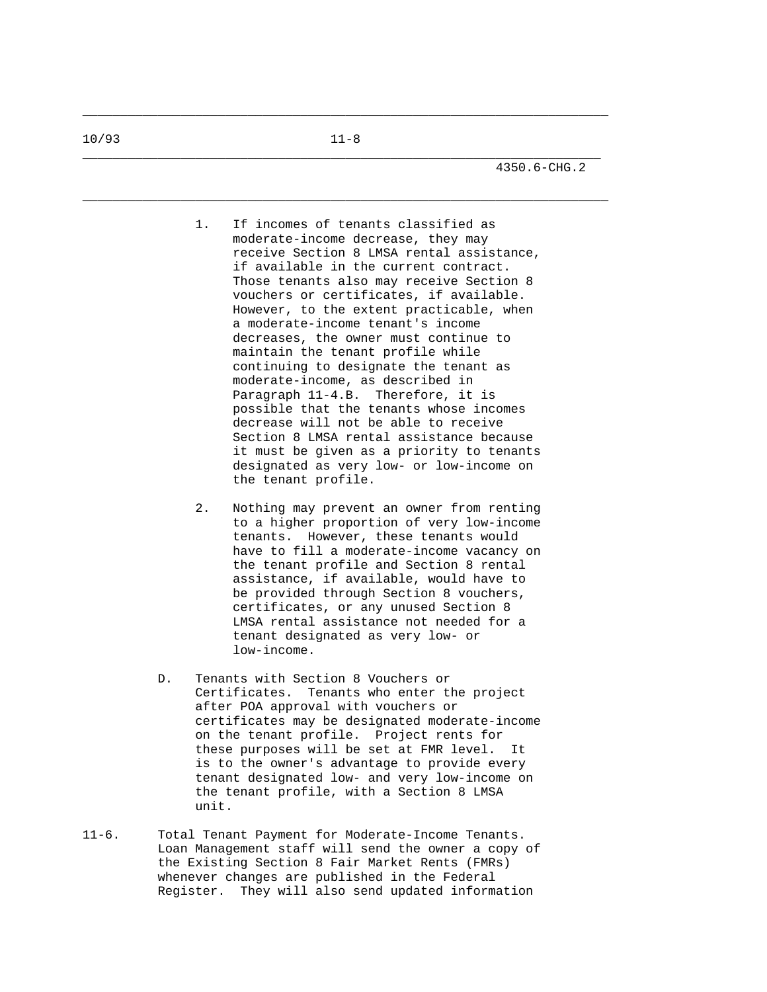\_\_\_\_\_\_\_\_\_\_\_\_\_\_\_\_\_\_\_\_\_\_\_\_\_\_\_\_\_\_\_\_\_\_\_\_\_\_\_\_\_\_\_\_\_\_\_\_\_\_\_\_\_\_\_\_\_\_\_\_\_\_\_\_\_\_\_\_\_\_

- 1. If incomes of tenants classified as moderate-income decrease, they may receive Section 8 LMSA rental assistance, if available in the current contract. Those tenants also may receive Section 8 vouchers or certificates, if available. However, to the extent practicable, when a moderate-income tenant's income decreases, the owner must continue to maintain the tenant profile while continuing to designate the tenant as moderate-income, as described in Paragraph 11-4.B. Therefore, it is possible that the tenants whose incomes decrease will not be able to receive Section 8 LMSA rental assistance because it must be given as a priority to tenants designated as very low- or low-income on the tenant profile.
- 2. Nothing may prevent an owner from renting to a higher proportion of very low-income tenants. However, these tenants would have to fill a moderate-income vacancy on the tenant profile and Section 8 rental assistance, if available, would have to be provided through Section 8 vouchers, certificates, or any unused Section 8 LMSA rental assistance not needed for a tenant designated as very low- or low-income.
- D. Tenants with Section 8 Vouchers or Certificates. Tenants who enter the project after POA approval with vouchers or certificates may be designated moderate-income on the tenant profile. Project rents for these purposes will be set at FMR level. It is to the owner's advantage to provide every tenant designated low- and very low-income on the tenant profile, with a Section 8 LMSA unit.
- 11-6. Total Tenant Payment for Moderate-Income Tenants. Loan Management staff will send the owner a copy of the Existing Section 8 Fair Market Rents (FMRs) whenever changes are published in the Federal Register. They will also send updated information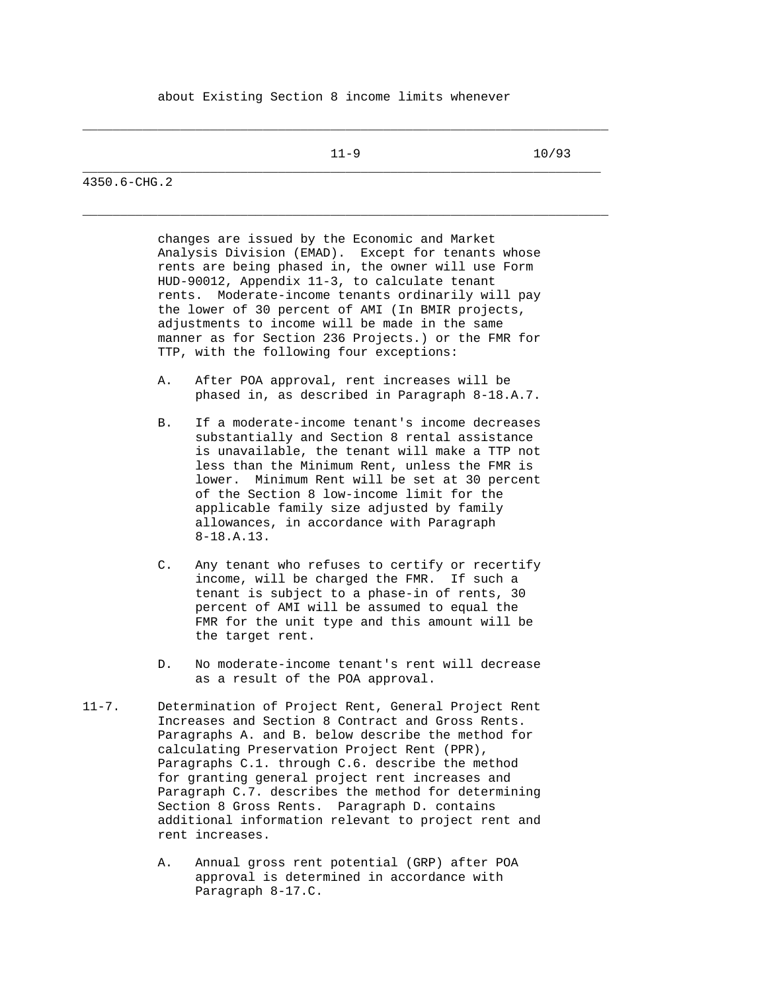\_\_\_\_\_\_\_\_\_\_\_\_\_\_\_\_\_\_\_\_\_\_\_\_\_\_\_\_\_\_\_\_\_\_\_\_\_\_\_\_\_\_\_\_\_\_\_\_\_\_\_\_\_\_\_\_\_\_\_\_\_\_\_\_\_\_\_\_\_\_

\_\_\_\_\_\_\_\_\_\_\_\_\_\_\_\_\_\_\_\_\_\_\_\_\_\_\_\_\_\_\_\_\_\_\_\_\_\_\_\_\_\_\_\_\_\_\_\_\_\_\_\_\_\_\_\_\_\_\_\_\_\_\_\_\_\_\_\_\_\_

11-9 10/93

4350.6-CHG.2

 changes are issued by the Economic and Market Analysis Division (EMAD). Except for tenants whose rents are being phased in, the owner will use Form HUD-90012, Appendix 11-3, to calculate tenant rents. Moderate-income tenants ordinarily will pay the lower of 30 percent of AMI (In BMIR projects, adjustments to income will be made in the same manner as for Section 236 Projects.) or the FMR for TTP, with the following four exceptions:

- A. After POA approval, rent increases will be phased in, as described in Paragraph 8-18.A.7.
- B. If a moderate-income tenant's income decreases substantially and Section 8 rental assistance is unavailable, the tenant will make a TTP not less than the Minimum Rent, unless the FMR is lower. Minimum Rent will be set at 30 percent of the Section 8 low-income limit for the applicable family size adjusted by family allowances, in accordance with Paragraph 8-18.A.13.
- C. Any tenant who refuses to certify or recertify income, will be charged the FMR. If such a tenant is subject to a phase-in of rents, 30 percent of AMI will be assumed to equal the FMR for the unit type and this amount will be the target rent.
- D. No moderate-income tenant's rent will decrease as a result of the POA approval.
- 11-7. Determination of Project Rent, General Project Rent Increases and Section 8 Contract and Gross Rents. Paragraphs A. and B. below describe the method for calculating Preservation Project Rent (PPR), Paragraphs C.1. through C.6. describe the method for granting general project rent increases and Paragraph C.7. describes the method for determining Section 8 Gross Rents. Paragraph D. contains additional information relevant to project rent and rent increases.
	- A. Annual gross rent potential (GRP) after POA approval is determined in accordance with Paragraph 8-17.C.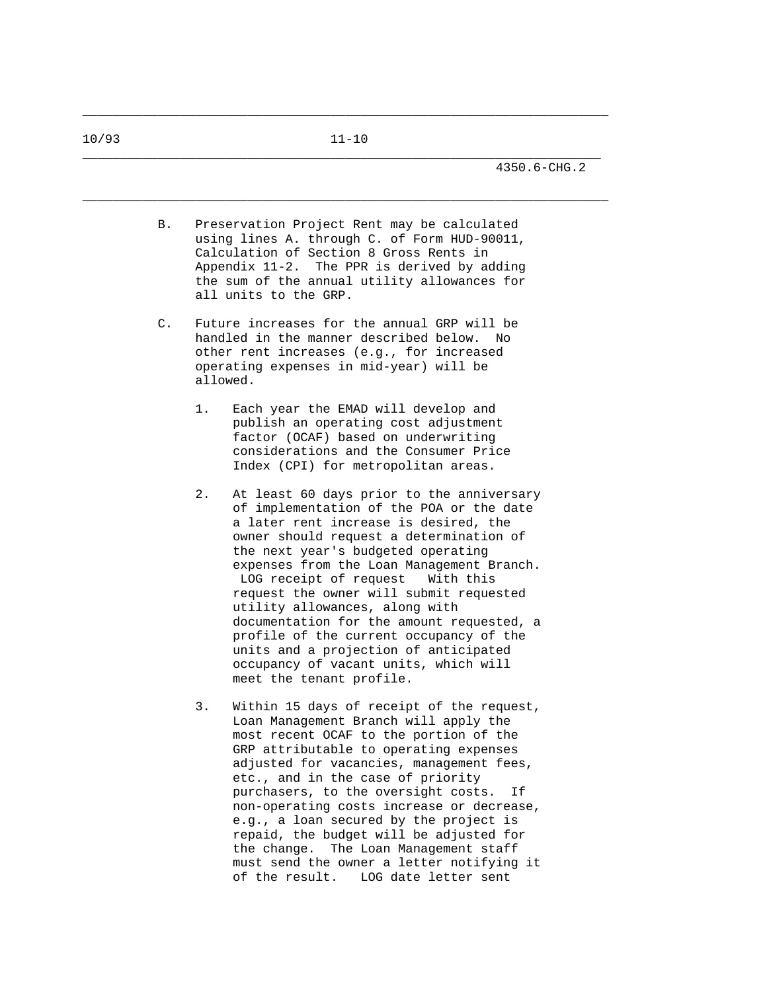\_\_\_\_\_\_\_\_\_\_\_\_\_\_\_\_\_\_\_\_\_\_\_\_\_\_\_\_\_\_\_\_\_\_\_\_\_\_\_\_\_\_\_\_\_\_\_\_\_\_\_\_\_\_\_\_\_\_\_\_\_\_\_\_\_\_\_\_\_\_ B. Preservation Project Rent may be calculated using lines A. through C. of Form HUD-90011, Calculation of Section 8 Gross Rents in Appendix 11-2. The PPR is derived by adding the sum of the annual utility allowances for all units to the GRP. C. Future increases for the annual GRP will be handled in the manner described below. No other rent increases (e.g., for increased operating expenses in mid-year) will be allowed. 1. Each year the EMAD will develop and publish an operating cost adjustment factor (OCAF) based on underwriting considerations and the Consumer Price Index (CPI) for metropolitan areas. 2. At least 60 days prior to the anniversary of implementation of the POA or the date a later rent increase is desired, the owner should request a determination of the next year's budgeted operating expenses from the Loan Management Branch. LOG receipt of request With this request the owner will submit requested utility allowances, along with documentation for the amount requested, a profile of the current occupancy of the units and a projection of anticipated occupancy of vacant units, which will meet the tenant profile. 3. Within 15 days of receipt of the request, Loan Management Branch will apply the most recent OCAF to the portion of the GRP attributable to operating expenses adjusted for vacancies, management fees, etc., and in the case of priority purchasers, to the oversight costs. If non-operating costs increase or decrease, e.g., a loan secured by the project is repaid, the budget will be adjusted for the change. The Loan Management staff must send the owner a letter notifying it

of the result. LOG date letter sent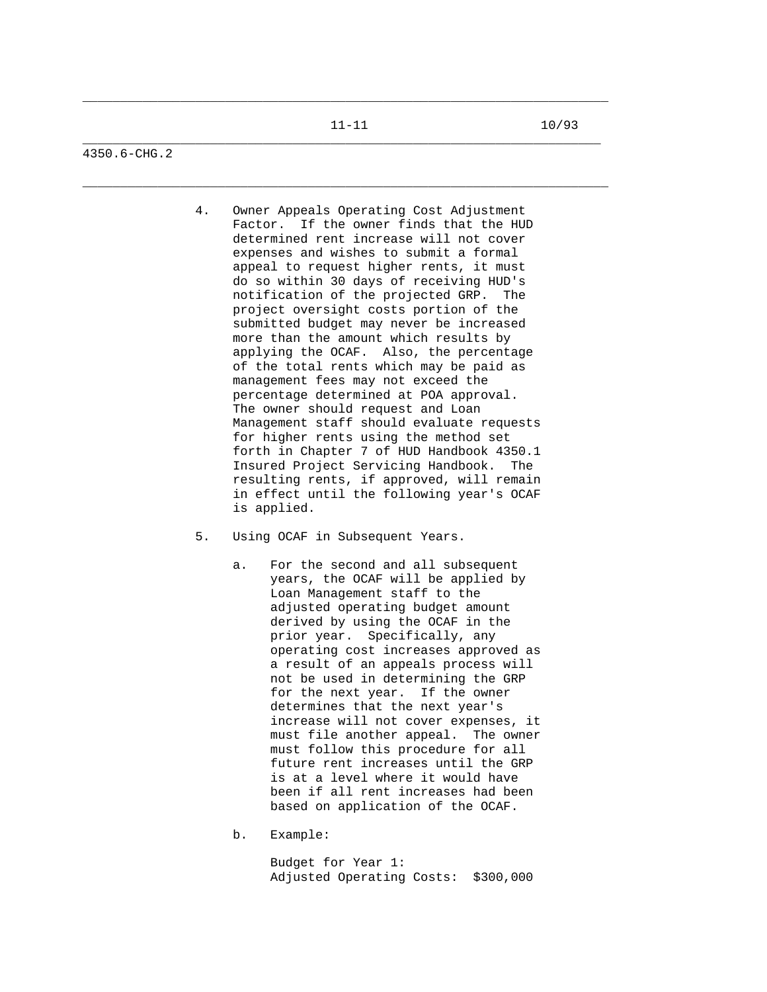\_\_\_\_\_\_\_\_\_\_\_\_\_\_\_\_\_\_\_\_\_\_\_\_\_\_\_\_\_\_\_\_\_\_\_\_\_\_\_\_\_\_\_\_\_\_\_\_\_\_\_\_\_\_\_\_\_\_\_\_\_\_\_\_\_\_\_\_\_\_

4350.6-CHG.2

- 4. Owner Appeals Operating Cost Adjustment Factor. If the owner finds that the HUD determined rent increase will not cover expenses and wishes to submit a formal appeal to request higher rents, it must do so within 30 days of receiving HUD's notification of the projected GRP. The project oversight costs portion of the submitted budget may never be increased more than the amount which results by applying the OCAF. Also, the percentage of the total rents which may be paid as management fees may not exceed the percentage determined at POA approval. The owner should request and Loan Management staff should evaluate requests for higher rents using the method set forth in Chapter 7 of HUD Handbook 4350.1 Insured Project Servicing Handbook. The resulting rents, if approved, will remain in effect until the following year's OCAF is applied.
- 5. Using OCAF in Subsequent Years.
	- a. For the second and all subsequent years, the OCAF will be applied by Loan Management staff to the adjusted operating budget amount derived by using the OCAF in the prior year. Specifically, any operating cost increases approved as a result of an appeals process will not be used in determining the GRP for the next year. If the owner determines that the next year's increase will not cover expenses, it must file another appeal. The owner must follow this procedure for all future rent increases until the GRP is at a level where it would have been if all rent increases had been based on application of the OCAF.
	- b. Example:

 Budget for Year 1: Adjusted Operating Costs: \$300,000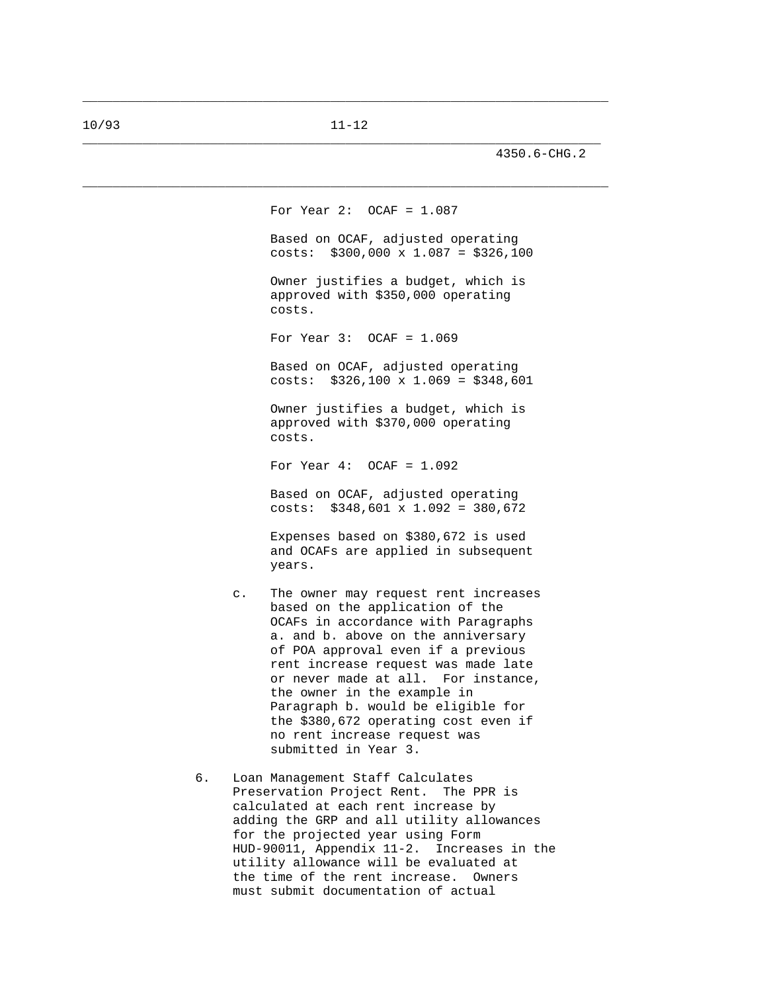\_\_\_\_\_\_\_\_\_\_\_\_\_\_\_\_\_\_\_\_\_\_\_\_\_\_\_\_\_\_\_\_\_\_\_\_\_\_\_\_\_\_\_\_\_\_\_\_\_\_\_\_\_\_\_\_\_\_\_\_\_\_\_\_\_\_\_\_\_\_

4350.6-CHG.2

 For Year 2: OCAF = 1.087 Based on OCAF, adjusted operating costs: \$300,000 x 1.087 = \$326,100 Owner justifies a budget, which is approved with \$350,000 operating costs. For Year 3: OCAF = 1.069 Based on OCAF, adjusted operating costs:  $$326,100 \times 1.069 = $348,601$  Owner justifies a budget, which is approved with \$370,000 operating costs. For Year  $4:$  OCAF =  $1.092$  Based on OCAF, adjusted operating costs: \$348,601 x 1.092 = 380,672 Expenses based on \$380,672 is used and OCAFs are applied in subsequent years. c. The owner may request rent increases based on the application of the OCAFs in accordance with Paragraphs a. and b. above on the anniversary of POA approval even if a previous rent increase request was made late or never made at all. For instance, the owner in the example in Paragraph b. would be eligible for the \$380,672 operating cost even if no rent increase request was submitted in Year 3.

 6. Loan Management Staff Calculates Preservation Project Rent. The PPR is calculated at each rent increase by adding the GRP and all utility allowances for the projected year using Form HUD-90011, Appendix 11-2. Increases in the utility allowance will be evaluated at the time of the rent increase. Owners must submit documentation of actual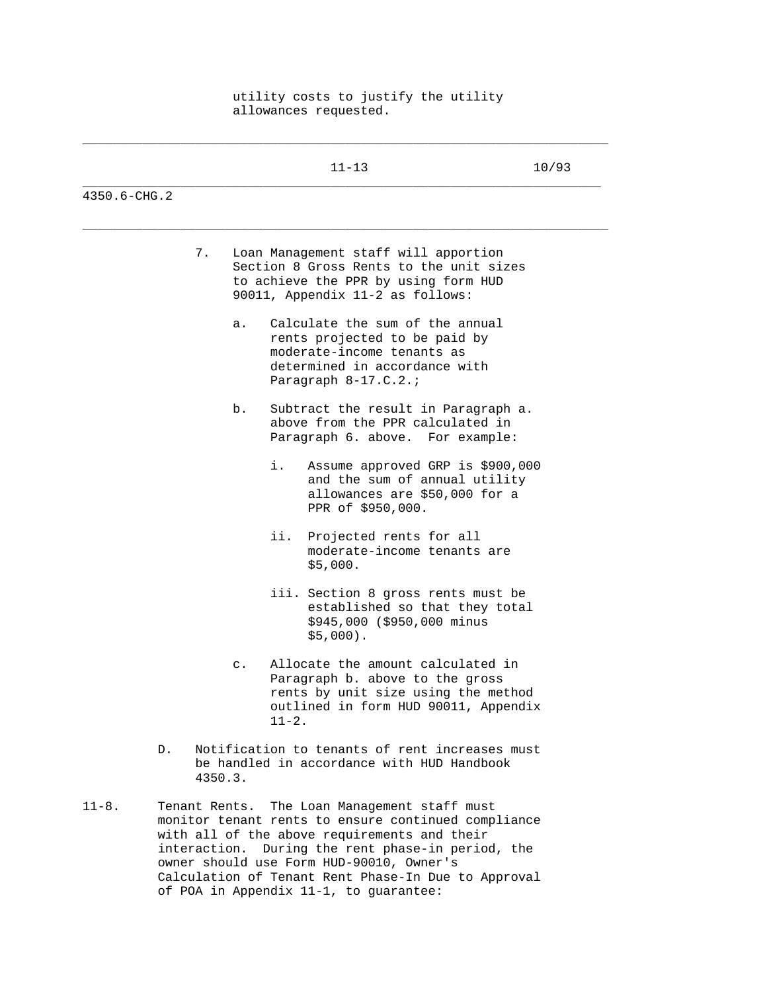## utility costs to justify the utility allowances requested.

\_\_\_\_\_\_\_\_\_\_\_\_\_\_\_\_\_\_\_\_\_\_\_\_\_\_\_\_\_\_\_\_\_\_\_\_\_\_\_\_\_\_\_\_\_\_\_\_\_\_\_\_\_\_\_\_\_\_\_\_\_\_\_\_\_\_\_\_\_\_

|              |                | $11 - 13$                                                                                                                                                                                                                                            | 10/93 |
|--------------|----------------|------------------------------------------------------------------------------------------------------------------------------------------------------------------------------------------------------------------------------------------------------|-------|
| 4350.6-CHG.2 |                |                                                                                                                                                                                                                                                      |       |
|              | 7.             | Loan Management staff will apportion<br>Section 8 Gross Rents to the unit sizes<br>to achieve the PPR by using form HUD<br>90011, Appendix 11-2 as follows:                                                                                          |       |
|              | а.             | Calculate the sum of the annual<br>rents projected to be paid by<br>moderate-income tenants as<br>determined in accordance with<br>Paragraph 8-17.C.2.;                                                                                              |       |
|              | b.             | Subtract the result in Paragraph a.<br>above from the PPR calculated in<br>Paragraph 6. above. For example:                                                                                                                                          |       |
|              |                | i.<br>Assume approved GRP is \$900,000<br>and the sum of annual utility<br>allowances are \$50,000 for a<br>PPR of \$950,000.                                                                                                                        |       |
|              |                | ii.<br>Projected rents for all<br>moderate-income tenants are<br>\$5,000.                                                                                                                                                                            |       |
|              |                | iii. Section 8 gross rents must be<br>established so that they total<br>\$945,000 (\$950,000 minus<br>$$5,000$ ).                                                                                                                                    |       |
|              | $\mathsf{C}$ . | Allocate the amount calculated in<br>Paragraph b. above to the gross<br>rents by unit size using the method<br>outlined in form HUD 90011, Appendix<br>$11 - 2$ .                                                                                    |       |
| D.           | 4350.3.        | Notification to tenants of rent increases must<br>be handled in accordance with HUD Handbook                                                                                                                                                         |       |
| $11 - 8$ .   |                | Tenant Rents. The Loan Management staff must<br>monitor tenant rents to ensure continued compliance<br>with all of the above requirements and their<br>interaction. During the rent phase-in period, the<br>owner should use Form HUD-90010, Owner's |       |

 Calculation of Tenant Rent Phase-In Due to Approval of POA in Appendix 11-1, to guarantee: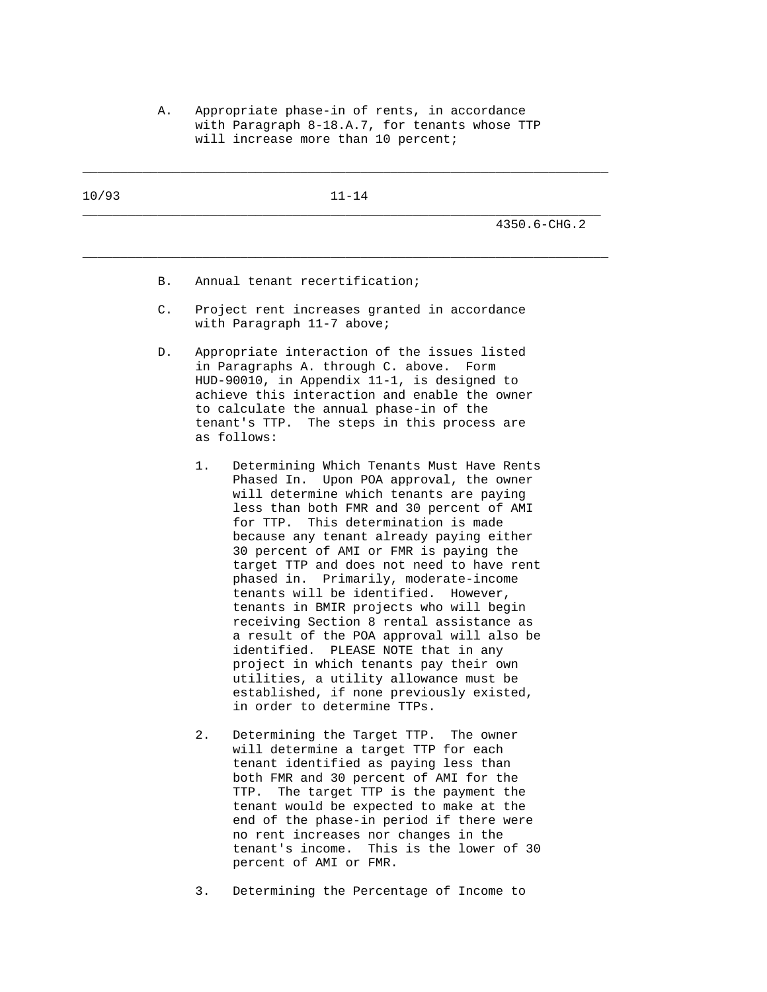A. Appropriate phase-in of rents, in accordance with Paragraph 8-18.A.7, for tenants whose TTP will increase more than 10 percent;

| 10/93 | $11 - 14$  |                                                                                                                                                                                                                                                                                                                                                                                                                                                                                                                                                                                                                                                                                                                                                                                              |  |  |  |  |
|-------|------------|----------------------------------------------------------------------------------------------------------------------------------------------------------------------------------------------------------------------------------------------------------------------------------------------------------------------------------------------------------------------------------------------------------------------------------------------------------------------------------------------------------------------------------------------------------------------------------------------------------------------------------------------------------------------------------------------------------------------------------------------------------------------------------------------|--|--|--|--|
|       |            | $4350.6 - CHG.2$                                                                                                                                                                                                                                                                                                                                                                                                                                                                                                                                                                                                                                                                                                                                                                             |  |  |  |  |
|       | <b>B</b> . | Annual tenant recertification;                                                                                                                                                                                                                                                                                                                                                                                                                                                                                                                                                                                                                                                                                                                                                               |  |  |  |  |
|       | C.         | Project rent increases granted in accordance<br>with Paragraph 11-7 above;                                                                                                                                                                                                                                                                                                                                                                                                                                                                                                                                                                                                                                                                                                                   |  |  |  |  |
|       | D.         | Appropriate interaction of the issues listed<br>in Paragraphs A. through C. above.<br>Form<br>HUD-90010, in Appendix 11-1, is designed to<br>achieve this interaction and enable the owner<br>to calculate the annual phase-in of the<br>tenant's TTP. The steps in this process are<br>as follows:                                                                                                                                                                                                                                                                                                                                                                                                                                                                                          |  |  |  |  |
|       |            | Determining Which Tenants Must Have Rents<br>1.<br>Phased In. Upon POA approval, the owner<br>will determine which tenants are paying<br>less than both FMR and 30 percent of AMI<br>for TTP. This determination is made<br>because any tenant already paying either<br>30 percent of AMI or FMR is paying the<br>target TTP and does not need to have rent<br>phased in. Primarily, moderate-income<br>tenants will be identified.<br>However,<br>tenants in BMIR projects who will begin<br>receiving Section 8 rental assistance as<br>a result of the POA approval will also be<br>PLEASE NOTE that in any<br>identified.<br>project in which tenants pay their own<br>utilities, a utility allowance must be<br>established, if none previously existed,<br>in order to determine TTPs. |  |  |  |  |
|       |            | 2.<br>Determining the Target TTP. The owner<br>will determine a target TTP for each<br>tenant identified as paying less than                                                                                                                                                                                                                                                                                                                                                                                                                                                                                                                                                                                                                                                                 |  |  |  |  |

 both FMR and 30 percent of AMI for the TTP. The target TTP is the payment the tenant would be expected to make at the end of the phase-in period if there were no rent increases nor changes in the tenant's income. This is the lower of 30 percent of AMI or FMR.

3. Determining the Percentage of Income to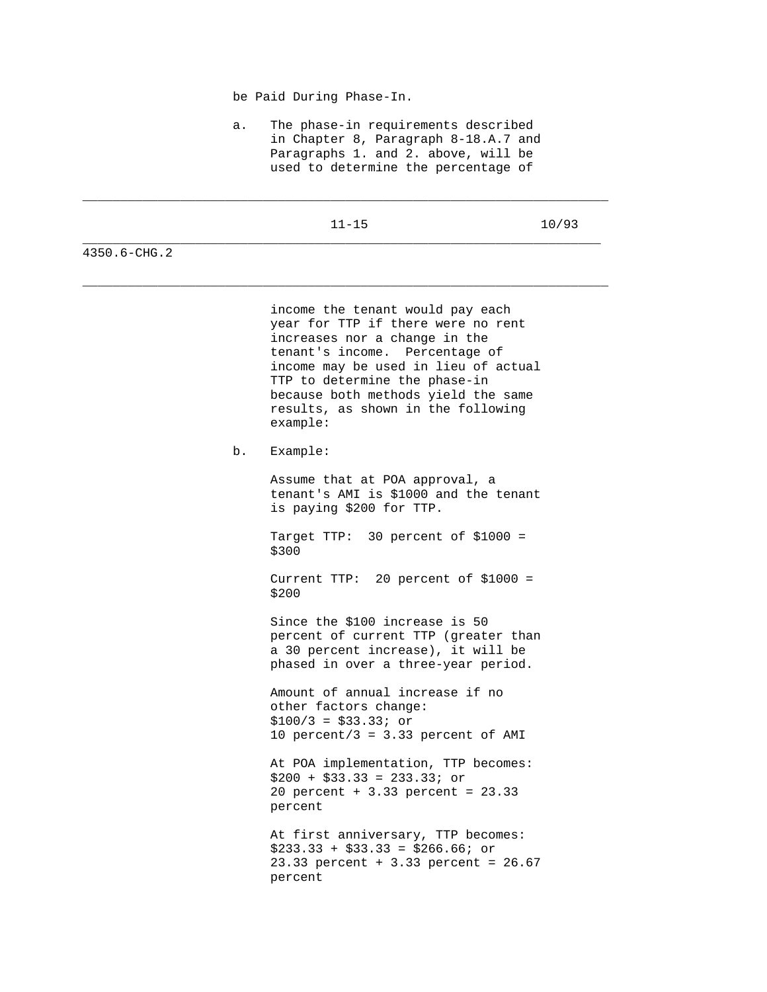be Paid During Phase-In.

 a. The phase-in requirements described in Chapter 8, Paragraph 8-18.A.7 and Paragraphs 1. and 2. above, will be used to determine the percentage of

| -<br>the contract of the contract of |  |
|--------------------------------------|--|
|                                      |  |

\_\_\_\_\_\_\_\_\_\_\_\_\_\_\_\_\_\_\_\_\_\_\_\_\_\_\_\_\_\_\_\_\_\_\_\_\_\_\_\_\_\_\_\_\_\_\_\_\_\_\_\_\_\_\_\_\_\_\_\_\_\_\_\_\_\_\_\_\_\_

\_\_\_\_\_\_\_\_\_\_\_\_\_\_\_\_\_\_\_\_\_\_\_\_\_\_\_\_\_\_\_\_\_\_\_\_\_\_\_\_\_\_\_\_\_\_\_\_\_\_\_\_\_\_\_\_\_\_\_\_\_\_\_\_\_\_\_\_\_\_

11-15 10/93

4350.6-CHG.2

 income the tenant would pay each year for TTP if there were no rent increases nor a change in the tenant's income. Percentage of income may be used in lieu of actual TTP to determine the phase-in because both methods yield the same results, as shown in the following example:

b. Example:

 Assume that at POA approval, a tenant's AMI is \$1000 and the tenant is paying \$200 for TTP.

 Target TTP: 30 percent of \$1000 = \$300

 Current TTP: 20 percent of \$1000 = \$200

 Since the \$100 increase is 50 percent of current TTP (greater than a 30 percent increase), it will be phased in over a three-year period.

 Amount of annual increase if no other factors change: \$100/3 = \$33.33; or 10 percent/3 =  $3.33$  percent of AMI

 At POA implementation, TTP becomes:  $$200 + $33.33 = 233.33$ ; or 20 percent + 3.33 percent = 23.33 percent

 At first anniversary, TTP becomes:  $$233.33 + $33.33 = $266.66$ ; or 23.33 percent + 3.33 percent = 26.67 percent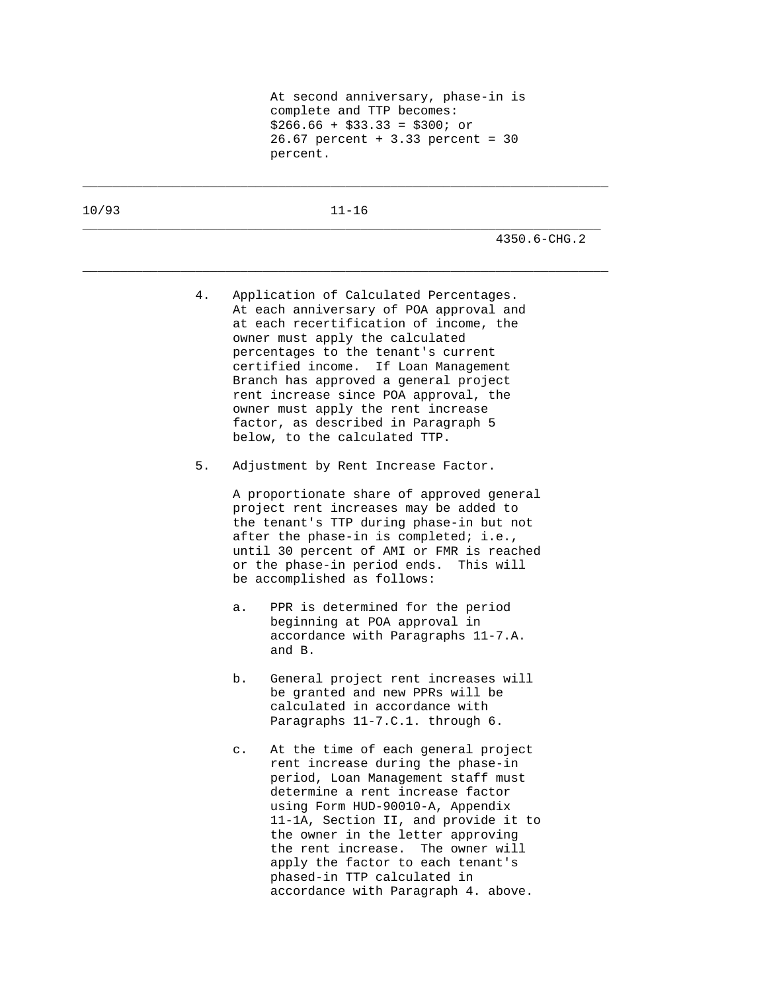10/93 11-16

\_\_\_\_\_\_\_\_\_\_\_\_\_\_\_\_\_\_\_\_\_\_\_\_\_\_\_\_\_\_\_\_\_\_\_\_\_\_\_\_\_\_\_\_\_\_\_\_\_\_\_\_\_\_\_\_\_\_\_\_\_\_\_\_\_\_\_\_\_

\_\_\_\_\_\_\_\_\_\_\_\_\_\_\_\_\_\_\_\_\_\_\_\_\_\_\_\_\_\_\_\_\_\_\_\_\_\_\_\_\_\_\_\_\_\_\_\_\_\_\_\_\_\_\_\_\_\_\_\_\_\_\_\_\_\_\_\_\_\_

\_\_\_\_\_\_\_\_\_\_\_\_\_\_\_\_\_\_\_\_\_\_\_\_\_\_\_\_\_\_\_\_\_\_\_\_\_\_\_\_\_\_\_\_\_\_\_\_\_\_\_\_\_\_\_\_\_\_\_\_\_\_\_\_\_\_\_\_\_\_

4350.6-CHG.2

- 4. Application of Calculated Percentages. At each anniversary of POA approval and at each recertification of income, the owner must apply the calculated percentages to the tenant's current certified income. If Loan Management Branch has approved a general project rent increase since POA approval, the owner must apply the rent increase factor, as described in Paragraph 5 below, to the calculated TTP.
- 5. Adjustment by Rent Increase Factor.

 A proportionate share of approved general project rent increases may be added to the tenant's TTP during phase-in but not after the phase-in is completed; i.e., until 30 percent of AMI or FMR is reached or the phase-in period ends. This will be accomplished as follows:

- a. PPR is determined for the period beginning at POA approval in accordance with Paragraphs 11-7.A. and B.
- b. General project rent increases will be granted and new PPRs will be calculated in accordance with Paragraphs 11-7.C.1. through 6.
- c. At the time of each general project rent increase during the phase-in period, Loan Management staff must determine a rent increase factor using Form HUD-90010-A, Appendix 11-1A, Section II, and provide it to the owner in the letter approving the rent increase. The owner will apply the factor to each tenant's phased-in TTP calculated in accordance with Paragraph 4. above.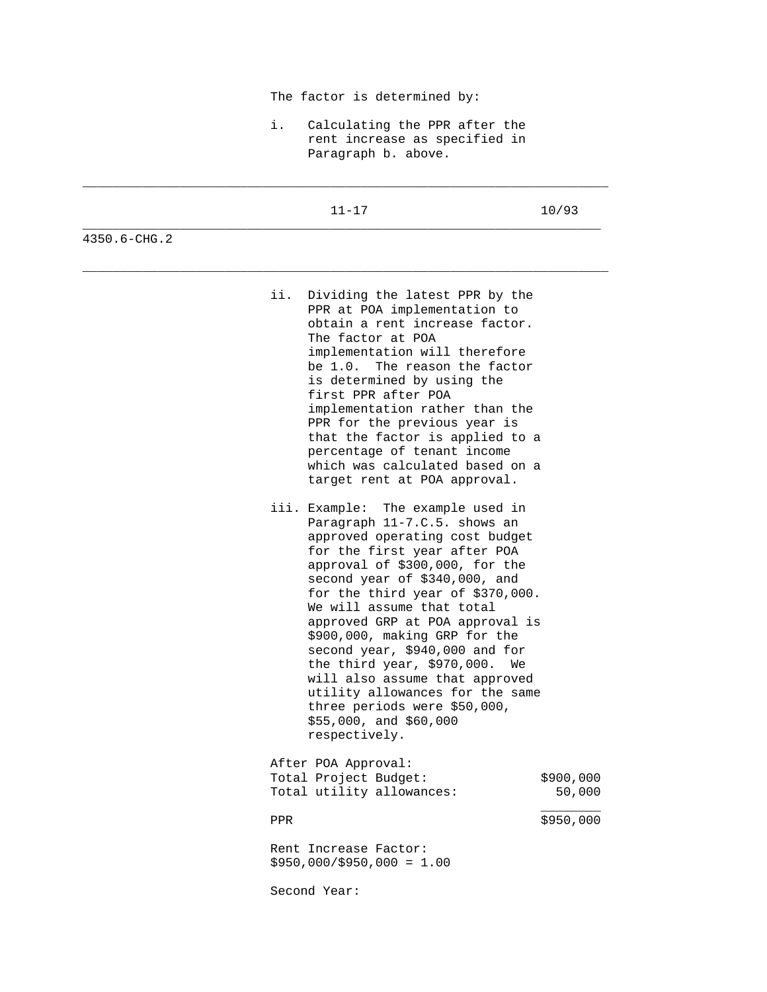|              | The factor is determined by:                                                                                                                                                                                                                                                                                                                                                                                                                                                                                                                                    |                     |  |  |  |
|--------------|-----------------------------------------------------------------------------------------------------------------------------------------------------------------------------------------------------------------------------------------------------------------------------------------------------------------------------------------------------------------------------------------------------------------------------------------------------------------------------------------------------------------------------------------------------------------|---------------------|--|--|--|
|              | i.<br>Calculating the PPR after the<br>rent increase as specified in<br>Paragraph b. above.                                                                                                                                                                                                                                                                                                                                                                                                                                                                     |                     |  |  |  |
|              | $11 - 17$                                                                                                                                                                                                                                                                                                                                                                                                                                                                                                                                                       | 10/93               |  |  |  |
| 4350.6-CHG.2 |                                                                                                                                                                                                                                                                                                                                                                                                                                                                                                                                                                 |                     |  |  |  |
|              | ii.<br>Dividing the latest PPR by the<br>PPR at POA implementation to<br>obtain a rent increase factor.<br>The factor at POA<br>implementation will therefore<br>be 1.0.<br>The reason the factor<br>is determined by using the<br>first PPR after POA<br>implementation rather than the<br>PPR for the previous year is<br>that the factor is applied to a<br>percentage of tenant income<br>which was calculated based on a<br>target rent at POA approval.                                                                                                   |                     |  |  |  |
|              | iii. Example: The example used in<br>Paragraph 11-7.C.5. shows an<br>approved operating cost budget<br>for the first year after POA<br>approval of \$300,000, for the<br>second year of \$340,000, and<br>for the third year of $$370,000$ .<br>We will assume that total<br>approved GRP at POA approval is<br>\$900,000, making GRP for the<br>second year, \$940,000 and for<br>the third year, $$970,000$ .<br>will also assume that approved<br>utility allowances for the same<br>three periods were \$50,000,<br>\$55,000, and \$60,000<br>respectively. | We                  |  |  |  |
|              | After POA Approval:<br>Total Project Budget:<br>Total utility allowances:                                                                                                                                                                                                                                                                                                                                                                                                                                                                                       | \$900,000<br>50,000 |  |  |  |
|              | <b>PPR</b>                                                                                                                                                                                                                                                                                                                                                                                                                                                                                                                                                      | \$950,000           |  |  |  |
|              | Rent Increase Factor:<br>$$950,000$ / $$950,000 = 1.00$                                                                                                                                                                                                                                                                                                                                                                                                                                                                                                         |                     |  |  |  |
|              | Second Year:                                                                                                                                                                                                                                                                                                                                                                                                                                                                                                                                                    |                     |  |  |  |
|              |                                                                                                                                                                                                                                                                                                                                                                                                                                                                                                                                                                 |                     |  |  |  |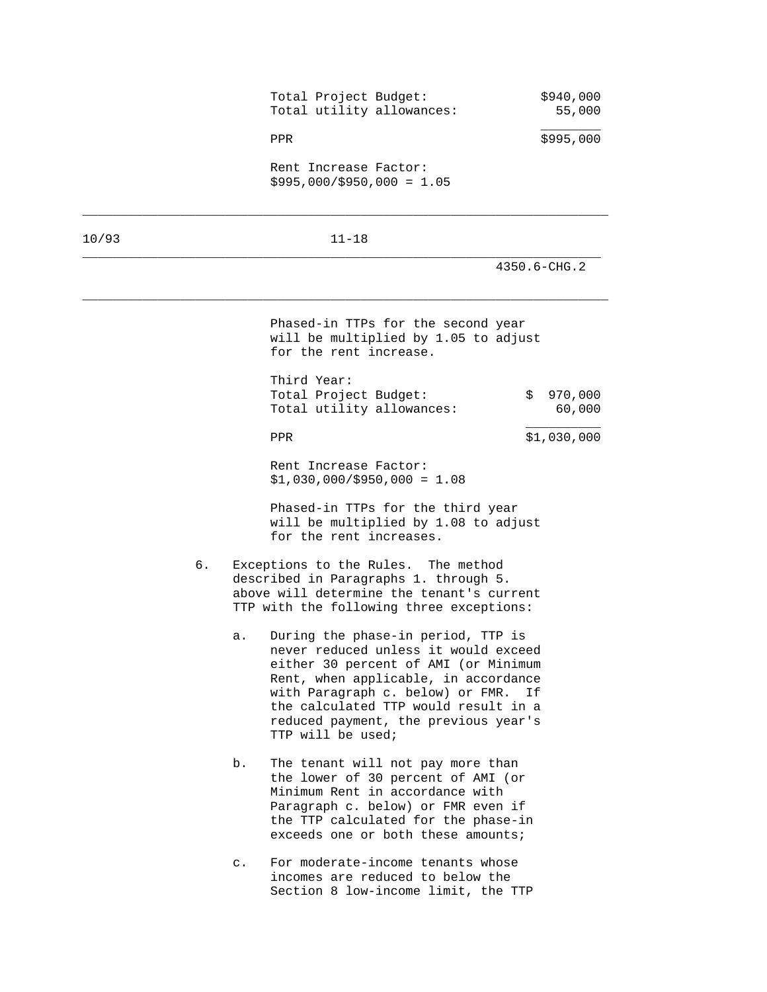| Total Project Budget:<br>Total utility allowances:   | \$940,000<br>55,000 |
|------------------------------------------------------|---------------------|
| PPR                                                  | \$995,000           |
| Rent Increase Factor:<br>$$995,000/\$950,000 = 1.05$ |                     |
|                                                      |                     |

10/93 11-18

\_\_\_\_\_\_\_\_\_\_\_\_\_\_\_\_\_\_\_\_\_\_\_\_\_\_\_\_\_\_\_\_\_\_\_\_\_\_\_\_\_\_\_\_\_\_\_\_\_\_\_\_\_\_\_\_\_\_\_\_\_\_\_\_\_\_\_\_\_

\_\_\_\_\_\_\_\_\_\_\_\_\_\_\_\_\_\_\_\_\_\_\_\_\_\_\_\_\_\_\_\_\_\_\_\_\_\_\_\_\_\_\_\_\_\_\_\_\_\_\_\_\_\_\_\_\_\_\_\_\_\_\_\_\_\_\_\_\_\_

4350.6-CHG.2

 Phased-in TTPs for the second year will be multiplied by 1.05 to adjust for the rent increase.

| Third Year:           |                           |           |
|-----------------------|---------------------------|-----------|
| Total Project Budget: |                           | \$970,000 |
|                       | Total utility allowances: | 60,000    |
|                       |                           |           |

PPR \$1,030,000

 Rent Increase Factor:  $$1,030,000$ / $$950,000 = 1.08$ 

 Phased-in TTPs for the third year will be multiplied by 1.08 to adjust for the rent increases.

- 6. Exceptions to the Rules. The method described in Paragraphs 1. through 5. above will determine the tenant's current TTP with the following three exceptions:
	- a. During the phase-in period, TTP is never reduced unless it would exceed either 30 percent of AMI (or Minimum Rent, when applicable, in accordance with Paragraph c. below) or FMR. If the calculated TTP would result in a reduced payment, the previous year's TTP will be used;
	- b. The tenant will not pay more than the lower of 30 percent of AMI (or Minimum Rent in accordance with Paragraph c. below) or FMR even if the TTP calculated for the phase-in exceeds one or both these amounts;
	- c. For moderate-income tenants whose incomes are reduced to below the Section 8 low-income limit, the TTP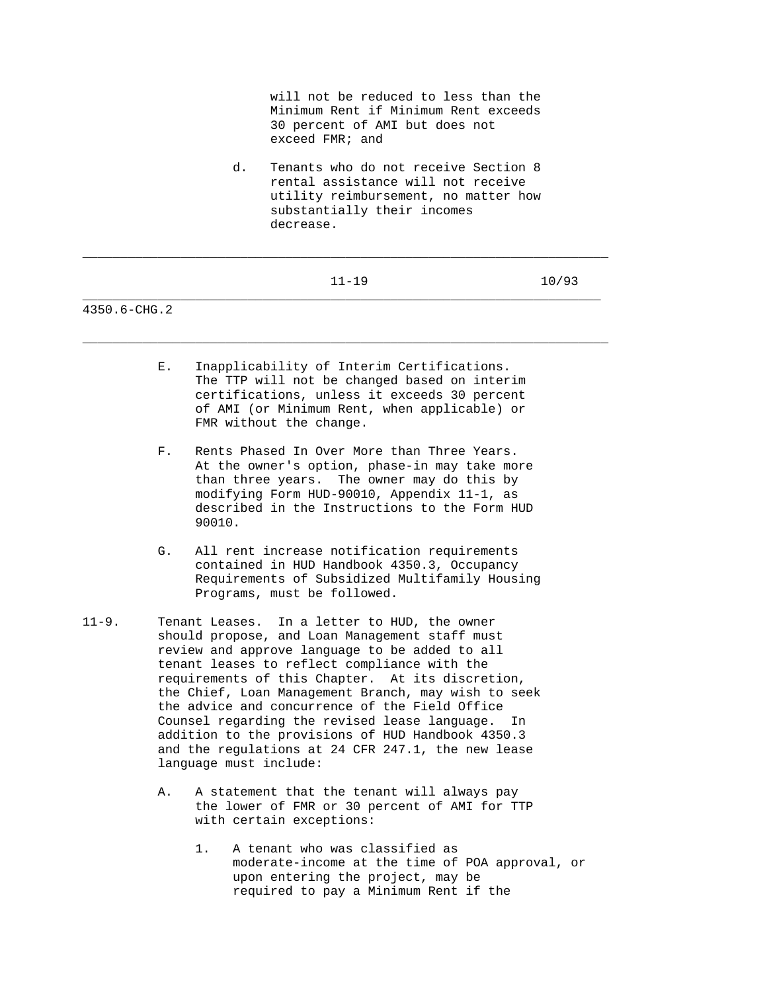will not be reduced to less than the Minimum Rent if Minimum Rent exceeds 30 percent of AMI but does not exceed FMR; and

 d. Tenants who do not receive Section 8 rental assistance will not receive utility reimbursement, no matter how substantially their incomes decrease.

| $\overline{\phantom{a}}$ |  |
|--------------------------|--|
|                          |  |

\_\_\_\_\_\_\_\_\_\_\_\_\_\_\_\_\_\_\_\_\_\_\_\_\_\_\_\_\_\_\_\_\_\_\_\_\_\_\_\_\_\_\_\_\_\_\_\_\_\_\_\_\_\_\_\_\_\_\_\_\_\_\_\_\_\_\_\_\_\_

\_\_\_\_\_\_\_\_\_\_\_\_\_\_\_\_\_\_\_\_\_\_\_\_\_\_\_\_\_\_\_\_\_\_\_\_\_\_\_\_\_\_\_\_\_\_\_\_\_\_\_\_\_\_\_\_\_\_\_\_\_\_\_\_\_\_\_\_\_\_

- E. Inapplicability of Interim Certifications. The TTP will not be changed based on interim certifications, unless it exceeds 30 percent of AMI (or Minimum Rent, when applicable) or FMR without the change.
- F. Rents Phased In Over More than Three Years. At the owner's option, phase-in may take more than three years. The owner may do this by modifying Form HUD-90010, Appendix 11-1, as described in the Instructions to the Form HUD 90010.
- G. All rent increase notification requirements contained in HUD Handbook 4350.3, Occupancy Requirements of Subsidized Multifamily Housing Programs, must be followed.
- 11-9. Tenant Leases. In a letter to HUD, the owner should propose, and Loan Management staff must review and approve language to be added to all tenant leases to reflect compliance with the requirements of this Chapter. At its discretion, the Chief, Loan Management Branch, may wish to seek the advice and concurrence of the Field Office Counsel regarding the revised lease language. In addition to the provisions of HUD Handbook 4350.3 and the regulations at 24 CFR 247.1, the new lease language must include:
	- A. A statement that the tenant will always pay the lower of FMR or 30 percent of AMI for TTP with certain exceptions:
		- 1. A tenant who was classified as moderate-income at the time of POA approval, or upon entering the project, may be required to pay a Minimum Rent if the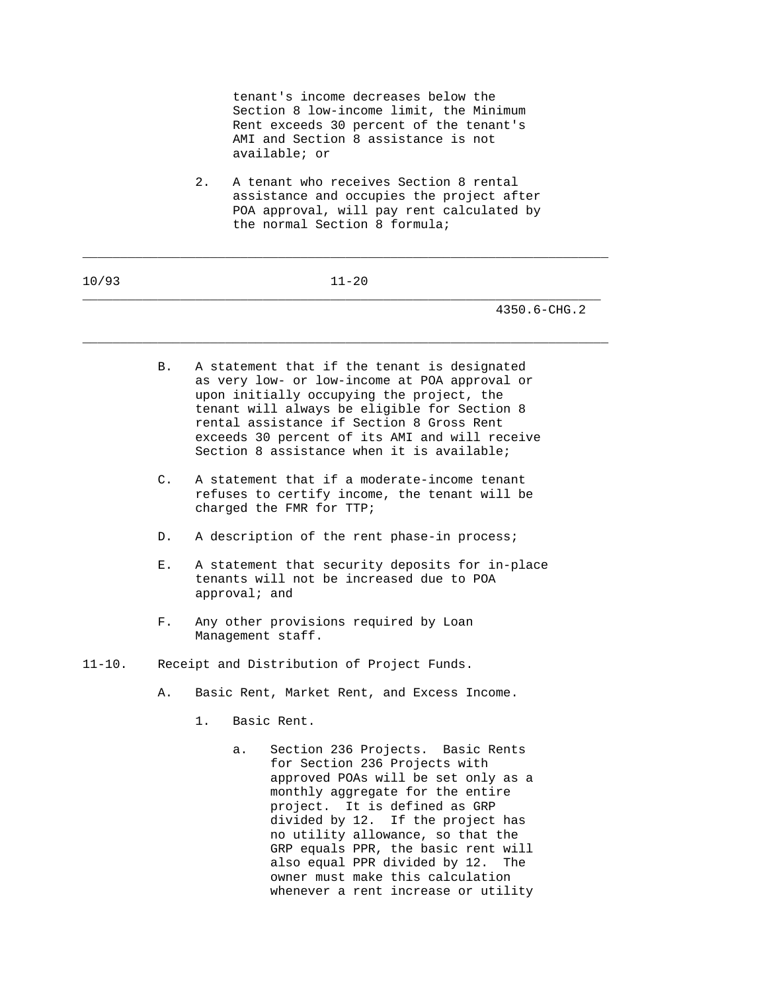tenant's income decreases below the Section 8 low-income limit, the Minimum Rent exceeds 30 percent of the tenant's AMI and Section 8 assistance is not available; or

 2. A tenant who receives Section 8 rental assistance and occupies the project after POA approval, will pay rent calculated by the normal Section 8 formula;

| 10/93       |    | $11 - 20$                                                                                                                                                                                                                                                                                                                                                                         |
|-------------|----|-----------------------------------------------------------------------------------------------------------------------------------------------------------------------------------------------------------------------------------------------------------------------------------------------------------------------------------------------------------------------------------|
|             |    | 4350.6-CHG.2                                                                                                                                                                                                                                                                                                                                                                      |
|             | В. | A statement that if the tenant is designated<br>as very low- or low-income at POA approval or<br>upon initially occupying the project, the<br>tenant will always be eligible for Section 8<br>rental assistance if Section 8 Gross Rent<br>exceeds 30 percent of its AMI and will receive<br>Section 8 assistance when it is available;                                           |
|             | C. | A statement that if a moderate-income tenant<br>refuses to certify income, the tenant will be<br>charged the FMR for TTP;                                                                                                                                                                                                                                                         |
|             | D. | A description of the rent phase-in process;                                                                                                                                                                                                                                                                                                                                       |
|             | Е. | A statement that security deposits for in-place<br>tenants will not be increased due to POA<br>approval; and                                                                                                                                                                                                                                                                      |
|             | F. | Any other provisions required by Loan<br>Management staff.                                                                                                                                                                                                                                                                                                                        |
| $11 - 10$ . |    | Receipt and Distribution of Project Funds.                                                                                                                                                                                                                                                                                                                                        |
|             | Α. | Basic Rent, Market Rent, and Excess Income.                                                                                                                                                                                                                                                                                                                                       |
|             |    | 1.<br>Basic Rent.                                                                                                                                                                                                                                                                                                                                                                 |
|             |    | Section 236 Projects. Basic Rents<br>a.<br>for Section 236 Projects with<br>approved POAs will be set only as a<br>monthly aggregate for the entire<br>project. It is defined as GRP<br>divided by 12. If the project has<br>no utility allowance, so that the<br>GRP equals PPR, the basic rent will<br>also equal PPR divided by 12.<br>The<br>owner must make this calculation |

whenever a rent increase or utility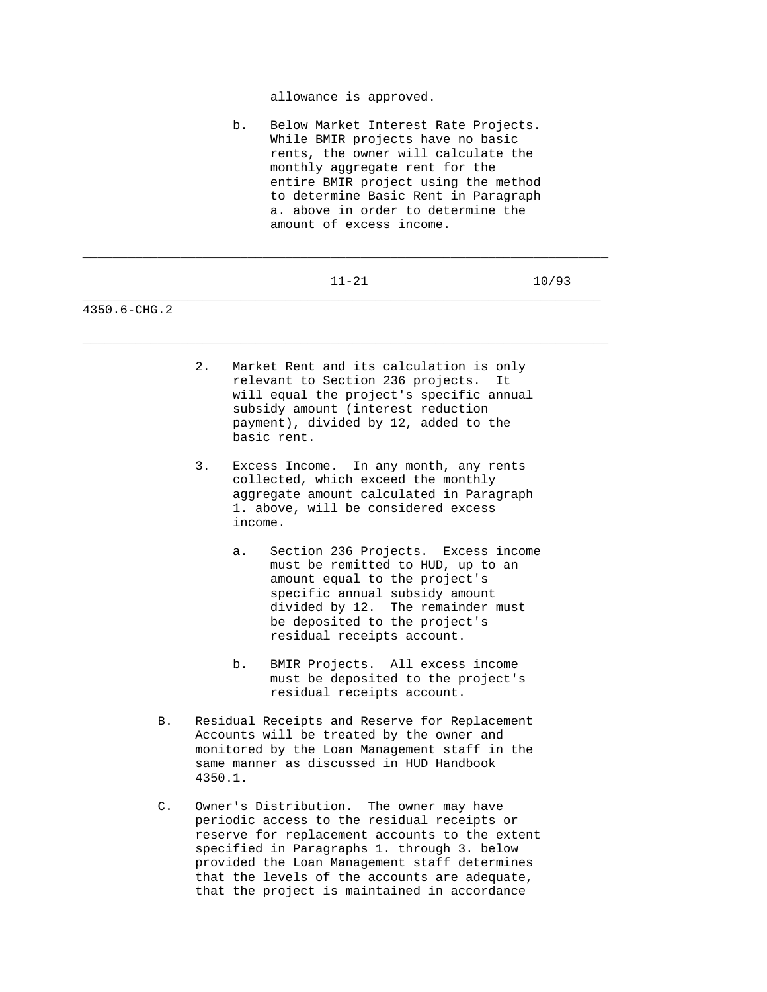allowance is approved.

 b. Below Market Interest Rate Projects. While BMIR projects have no basic rents, the owner will calculate the monthly aggregate rent for the entire BMIR project using the method to determine Basic Rent in Paragraph a. above in order to determine the amount of excess income.

|              |          | $11 - 21$                                 | 10/93 |
|--------------|----------|-------------------------------------------|-------|
| 4350.6-CHG.2 |          |                                           |       |
|              | $\Omega$ | Morelrot Dont and its soloulation is only |       |

- 2. Market Rent and its calculation is only relevant to Section 236 projects. It will equal the project's specific annual subsidy amount (interest reduction payment), divided by 12, added to the basic rent.
- 3. Excess Income. In any month, any rents collected, which exceed the monthly aggregate amount calculated in Paragraph 1. above, will be considered excess income.
	- a. Section 236 Projects. Excess income must be remitted to HUD, up to an amount equal to the project's specific annual subsidy amount divided by 12. The remainder must be deposited to the project's residual receipts account.
	- b. BMIR Projects. All excess income must be deposited to the project's residual receipts account.
- B. Residual Receipts and Reserve for Replacement Accounts will be treated by the owner and monitored by the Loan Management staff in the same manner as discussed in HUD Handbook 4350.1.
- C. Owner's Distribution. The owner may have periodic access to the residual receipts or reserve for replacement accounts to the extent specified in Paragraphs 1. through 3. below provided the Loan Management staff determines that the levels of the accounts are adequate, that the project is maintained in accordance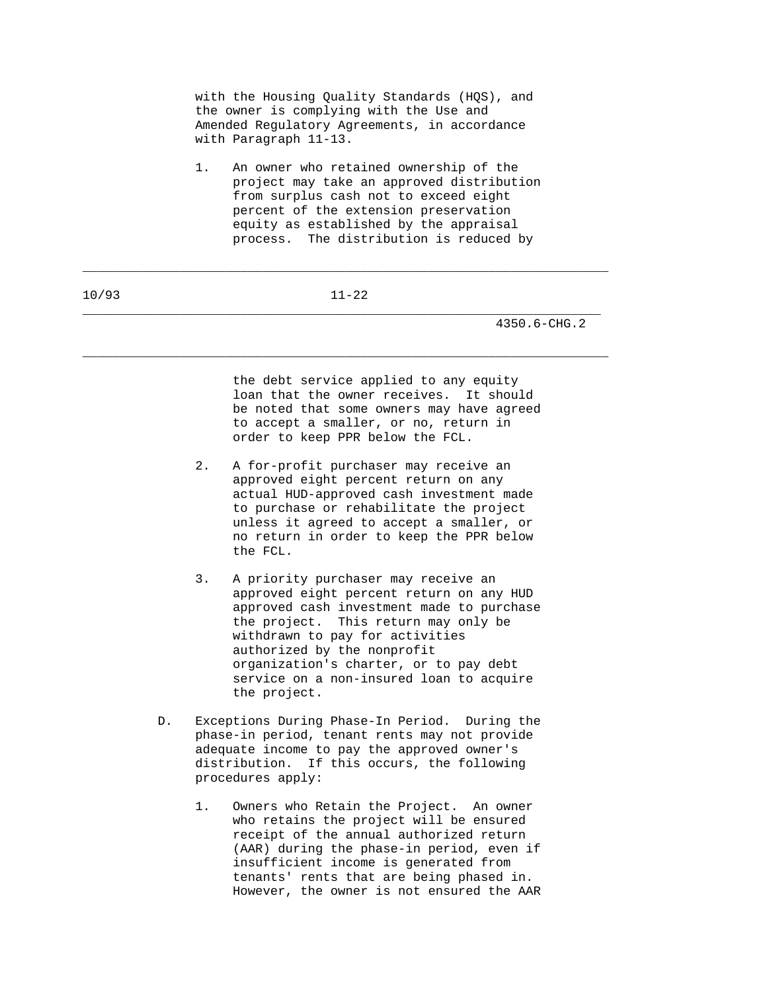| with the Housing Ouality Standards (HOS), and |
|-----------------------------------------------|
| the owner is complying with the Use and       |
| Amended Requlatory Agreements, in accordance  |
| with Paragraph 11-13.                         |

 1. An owner who retained ownership of the project may take an approved distribution from surplus cash not to exceed eight percent of the extension preservation equity as established by the appraisal process. The distribution is reduced by

\_\_\_\_\_\_\_\_\_\_\_\_\_\_\_\_\_\_\_\_\_\_\_\_\_\_\_\_\_\_\_\_\_\_\_\_\_\_\_\_\_\_\_\_\_\_\_\_\_\_\_\_\_\_\_\_\_\_\_\_\_\_\_\_\_\_\_\_\_

\_\_\_\_\_\_\_\_\_\_\_\_\_\_\_\_\_\_\_\_\_\_\_\_\_\_\_\_\_\_\_\_\_\_\_\_\_\_\_\_\_\_\_\_\_\_\_\_\_\_\_\_\_\_\_\_\_\_\_\_\_\_\_\_\_\_\_\_\_\_

\_\_\_\_\_\_\_\_\_\_\_\_\_\_\_\_\_\_\_\_\_\_\_\_\_\_\_\_\_\_\_\_\_\_\_\_\_\_\_\_\_\_\_\_\_\_\_\_\_\_\_\_\_\_\_\_\_\_\_\_\_\_\_\_\_\_\_\_\_\_

4350.6-CHG.2

 the debt service applied to any equity loan that the owner receives. It should be noted that some owners may have agreed to accept a smaller, or no, return in order to keep PPR below the FCL.

- 2. A for-profit purchaser may receive an approved eight percent return on any actual HUD-approved cash investment made to purchase or rehabilitate the project unless it agreed to accept a smaller, or no return in order to keep the PPR below the FCL.
- 3. A priority purchaser may receive an approved eight percent return on any HUD approved cash investment made to purchase the project. This return may only be withdrawn to pay for activities authorized by the nonprofit organization's charter, or to pay debt service on a non-insured loan to acquire the project.
- D. Exceptions During Phase-In Period. During the phase-in period, tenant rents may not provide adequate income to pay the approved owner's distribution. If this occurs, the following procedures apply:
	- 1. Owners who Retain the Project. An owner who retains the project will be ensured receipt of the annual authorized return (AAR) during the phase-in period, even if insufficient income is generated from tenants' rents that are being phased in. However, the owner is not ensured the AAR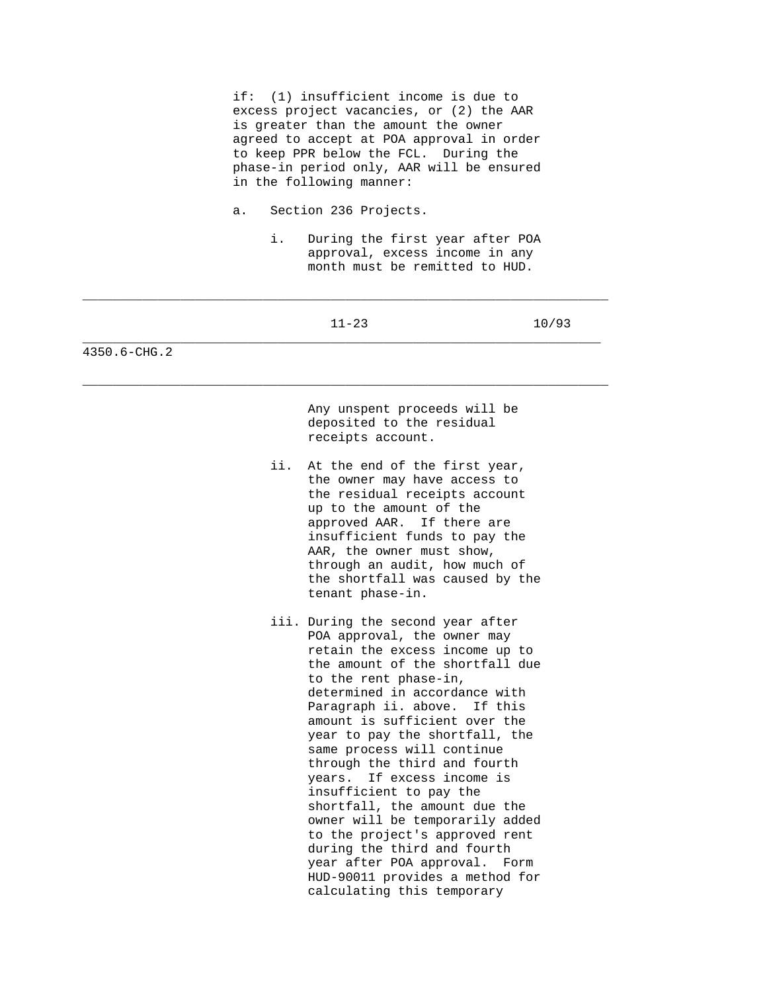if: (1) insufficient income is due to excess project vacancies, or (2) the AAR is greater than the amount the owner agreed to accept at POA approval in order to keep PPR below the FCL. During the phase-in period only, AAR will be ensured in the following manner:

- a. Section 236 Projects.
	- i. During the first year after POA approval, excess income in any

|              | month must be remitted to HUD. |                                                                                                                                                                                                                                                                                                                                                                                                                                                                                                                                                                                                                                                                           |       |
|--------------|--------------------------------|---------------------------------------------------------------------------------------------------------------------------------------------------------------------------------------------------------------------------------------------------------------------------------------------------------------------------------------------------------------------------------------------------------------------------------------------------------------------------------------------------------------------------------------------------------------------------------------------------------------------------------------------------------------------------|-------|
|              |                                | $11 - 23$                                                                                                                                                                                                                                                                                                                                                                                                                                                                                                                                                                                                                                                                 | 10/93 |
| 4350.6-CHG.2 |                                |                                                                                                                                                                                                                                                                                                                                                                                                                                                                                                                                                                                                                                                                           |       |
|              |                                | Any unspent proceeds will be<br>deposited to the residual<br>receipts account.                                                                                                                                                                                                                                                                                                                                                                                                                                                                                                                                                                                            |       |
|              | ii.                            | At the end of the first year,<br>the owner may have access to<br>the residual receipts account<br>up to the amount of the<br>If there are<br>approved AAR.<br>insufficient funds to pay the<br>AAR, the owner must show,<br>through an audit, how much of<br>the shortfall was caused by the<br>tenant phase-in.                                                                                                                                                                                                                                                                                                                                                          |       |
|              |                                | iii. During the second year after<br>POA approval, the owner may<br>retain the excess income up to<br>the amount of the shortfall due<br>to the rent phase-in,<br>determined in accordance with<br>Paragraph ii. above.<br>If this<br>amount is sufficient over the<br>year to pay the shortfall, the<br>same process will continue<br>through the third and fourth<br>If excess income is<br>years.<br>insufficient to pay the<br>shortfall, the amount due the<br>owner will be temporarily added<br>to the project's approved rent<br>during the third and fourth<br>year after POA approval.<br>Form<br>HUD-90011 provides a method for<br>calculating this temporary |       |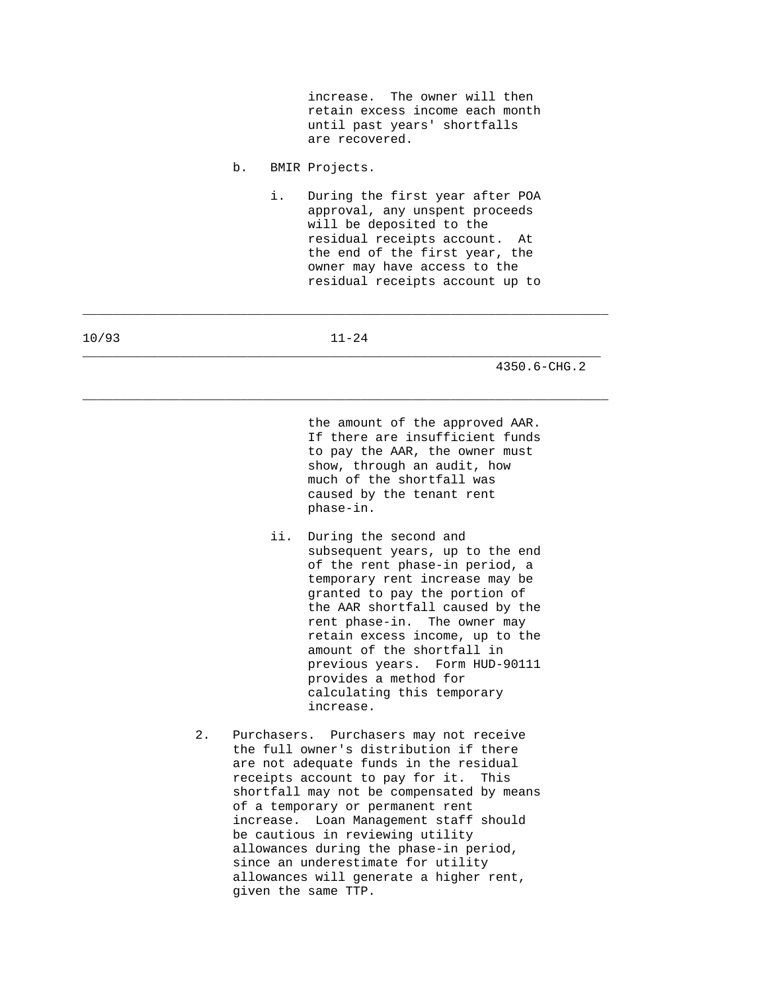increase. The owner will then retain excess income each month until past years' shortfalls are recovered.

- b. BMIR Projects.
	- i. During the first year after POA approval, any unspent proceeds will be deposited to the residual receipts account. At the end of the first year, the owner may have access to the residual receipts account up to

10/93 11-24 \_\_\_\_\_\_\_\_\_\_\_\_\_\_\_\_\_\_\_\_\_\_\_\_\_\_\_\_\_\_\_\_\_\_\_\_\_\_\_\_\_\_\_\_\_\_\_\_\_\_\_\_\_\_\_\_\_\_\_\_\_\_\_\_\_\_\_\_\_

\_\_\_\_\_\_\_\_\_\_\_\_\_\_\_\_\_\_\_\_\_\_\_\_\_\_\_\_\_\_\_\_\_\_\_\_\_\_\_\_\_\_\_\_\_\_\_\_\_\_\_\_\_\_\_\_\_\_\_\_\_\_\_\_\_\_\_\_\_\_

\_\_\_\_\_\_\_\_\_\_\_\_\_\_\_\_\_\_\_\_\_\_\_\_\_\_\_\_\_\_\_\_\_\_\_\_\_\_\_\_\_\_\_\_\_\_\_\_\_\_\_\_\_\_\_\_\_\_\_\_\_\_\_\_\_\_\_\_\_\_

4350.6-CHG.2

 the amount of the approved AAR. If there are insufficient funds to pay the AAR, the owner must show, through an audit, how much of the shortfall was caused by the tenant rent phase-in.

- ii. During the second and subsequent years, up to the end of the rent phase-in period, a temporary rent increase may be granted to pay the portion of the AAR shortfall caused by the rent phase-in. The owner may retain excess income, up to the amount of the shortfall in previous years. Form HUD-90111 provides a method for calculating this temporary increase.
- 2. Purchasers. Purchasers may not receive the full owner's distribution if there are not adequate funds in the residual receipts account to pay for it. This shortfall may not be compensated by means of a temporary or permanent rent increase. Loan Management staff should be cautious in reviewing utility allowances during the phase-in period, since an underestimate for utility allowances will generate a higher rent, given the same TTP.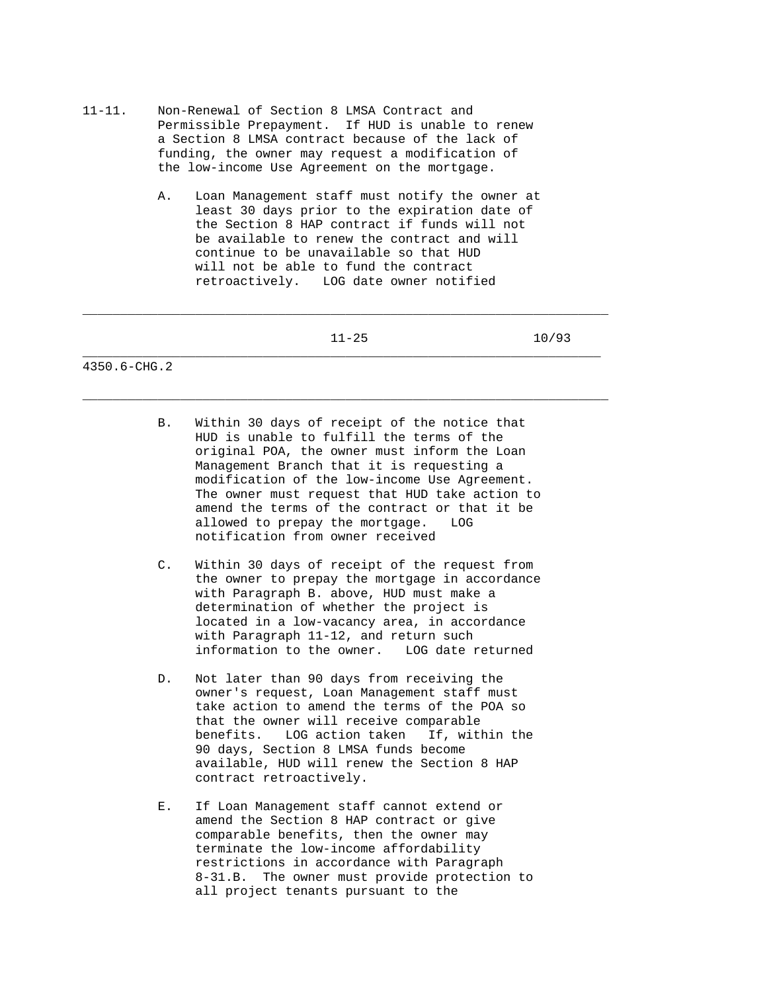- 11-11. Non-Renewal of Section 8 LMSA Contract and Permissible Prepayment. If HUD is unable to renew a Section 8 LMSA contract because of the lack of funding, the owner may request a modification of the low-income Use Agreement on the mortgage.
	- A. Loan Management staff must notify the owner at least 30 days prior to the expiration date of the Section 8 HAP contract if funds will not be available to renew the contract and will continue to be unavailable so that HUD will not be able to fund the contract retroactively. LOG date owner notified

\_\_\_\_\_\_\_\_\_\_\_\_\_\_\_\_\_\_\_\_\_\_\_\_\_\_\_\_\_\_\_\_\_\_\_\_\_\_\_\_\_\_\_\_\_\_\_\_\_\_\_\_\_\_\_\_\_\_\_\_\_\_\_\_\_\_\_\_\_\_

\_\_\_\_\_\_\_\_\_\_\_\_\_\_\_\_\_\_\_\_\_\_\_\_\_\_\_\_\_\_\_\_\_\_\_\_\_\_\_\_\_\_\_\_\_\_\_\_\_\_\_\_\_\_\_\_\_\_\_\_\_\_\_\_\_\_\_\_\_\_

11-25 10/93

- B. Within 30 days of receipt of the notice that HUD is unable to fulfill the terms of the original POA, the owner must inform the Loan Management Branch that it is requesting a modification of the low-income Use Agreement. The owner must request that HUD take action to amend the terms of the contract or that it be allowed to prepay the mortgage. LOG notification from owner received
- C. Within 30 days of receipt of the request from the owner to prepay the mortgage in accordance with Paragraph B. above, HUD must make a determination of whether the project is located in a low-vacancy area, in accordance with Paragraph 11-12, and return such information to the owner. LOG date returned
- D. Not later than 90 days from receiving the owner's request, Loan Management staff must take action to amend the terms of the POA so that the owner will receive comparable benefits. LOG action taken If, within the 90 days, Section 8 LMSA funds become available, HUD will renew the Section 8 HAP contract retroactively.
- E. If Loan Management staff cannot extend or amend the Section 8 HAP contract or give comparable benefits, then the owner may terminate the low-income affordability restrictions in accordance with Paragraph 8-31.B. The owner must provide protection to all project tenants pursuant to the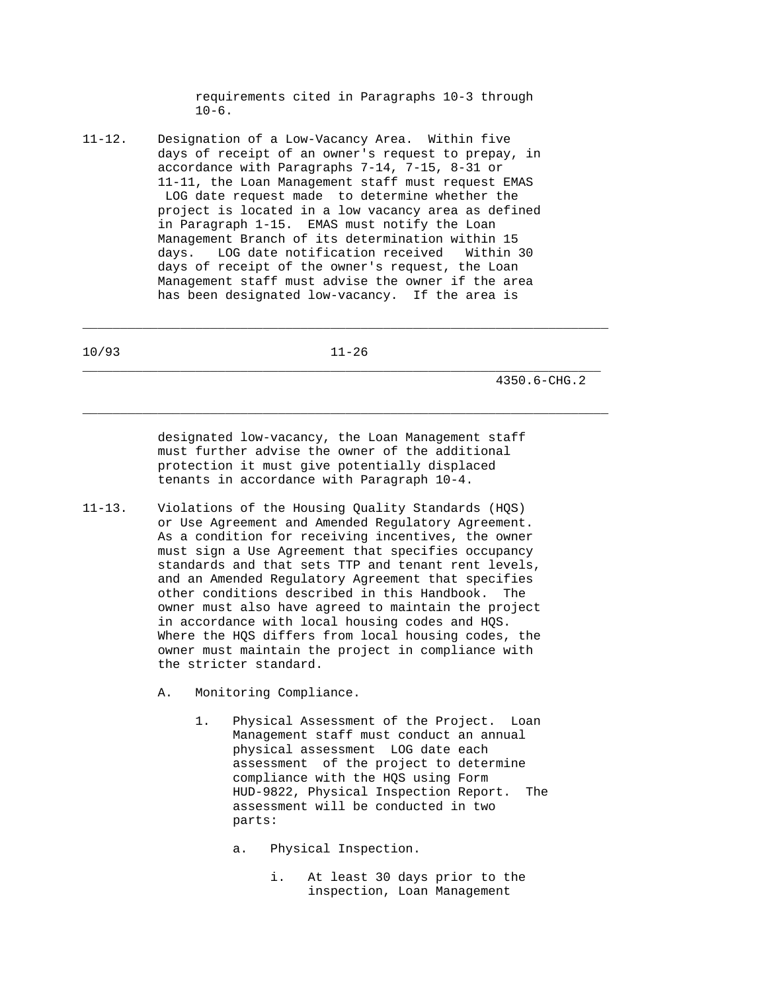requirements cited in Paragraphs 10-3 through  $10-6$ .

11-12. Designation of a Low-Vacancy Area. Within five days of receipt of an owner's request to prepay, in accordance with Paragraphs 7-14, 7-15, 8-31 or 11-11, the Loan Management staff must request EMAS LOG date request made to determine whether the project is located in a low vacancy area as defined in Paragraph 1-15. EMAS must notify the Loan Management Branch of its determination within 15 days. LOG date notification received Within 30 days of receipt of the owner's request, the Loan Management staff must advise the owner if the area has been designated low-vacancy. If the area is

10/93 11-26 \_\_\_\_\_\_\_\_\_\_\_\_\_\_\_\_\_\_\_\_\_\_\_\_\_\_\_\_\_\_\_\_\_\_\_\_\_\_\_\_\_\_\_\_\_\_\_\_\_\_\_\_\_\_\_\_\_\_\_\_\_\_\_\_\_\_\_\_\_

\_\_\_\_\_\_\_\_\_\_\_\_\_\_\_\_\_\_\_\_\_\_\_\_\_\_\_\_\_\_\_\_\_\_\_\_\_\_\_\_\_\_\_\_\_\_\_\_\_\_\_\_\_\_\_\_\_\_\_\_\_\_\_\_\_\_\_\_\_\_

\_\_\_\_\_\_\_\_\_\_\_\_\_\_\_\_\_\_\_\_\_\_\_\_\_\_\_\_\_\_\_\_\_\_\_\_\_\_\_\_\_\_\_\_\_\_\_\_\_\_\_\_\_\_\_\_\_\_\_\_\_\_\_\_\_\_\_\_\_\_

4350.6-CHG.2

 designated low-vacancy, the Loan Management staff must further advise the owner of the additional protection it must give potentially displaced tenants in accordance with Paragraph 10-4.

- 11-13. Violations of the Housing Quality Standards (HQS) or Use Agreement and Amended Regulatory Agreement. As a condition for receiving incentives, the owner must sign a Use Agreement that specifies occupancy standards and that sets TTP and tenant rent levels, and an Amended Regulatory Agreement that specifies other conditions described in this Handbook. The owner must also have agreed to maintain the project in accordance with local housing codes and HQS. Where the HQS differs from local housing codes, the owner must maintain the project in compliance with the stricter standard.
	- A. Monitoring Compliance.
		- 1. Physical Assessment of the Project. Loan Management staff must conduct an annual physical assessment LOG date each assessment of the project to determine compliance with the HQS using Form HUD-9822, Physical Inspection Report. The assessment will be conducted in two parts:
			- a. Physical Inspection.
				- i. At least 30 days prior to the inspection, Loan Management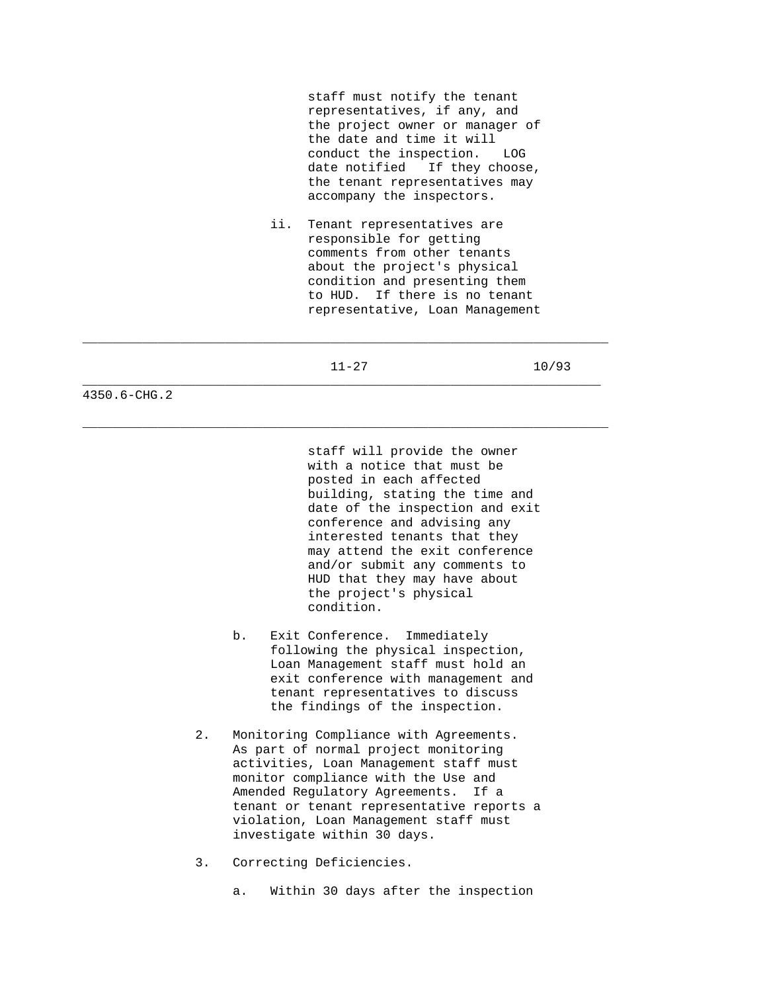staff must notify the tenant representatives, if any, and the project owner or manager of the date and time it will conduct the inspection. LOG date notified If they choose, the tenant representatives may accompany the inspectors.

 ii. Tenant representatives are responsible for getting comments from other tenants about the project's physical condition and presenting them to HUD. If there is no tenant representative, Loan Management

\_\_\_\_\_\_\_\_\_\_\_\_\_\_\_\_\_\_\_\_\_\_\_\_\_\_\_\_\_\_\_\_\_\_\_\_\_\_\_\_\_\_\_\_\_\_\_\_\_\_\_\_\_\_\_\_\_\_\_\_\_\_\_\_\_\_\_\_\_

\_\_\_\_\_\_\_\_\_\_\_\_\_\_\_\_\_\_\_\_\_\_\_\_\_\_\_\_\_\_\_\_\_\_\_\_\_\_\_\_\_\_\_\_\_\_\_\_\_\_\_\_\_\_\_\_\_\_\_\_\_\_\_\_\_\_\_\_\_\_

\_\_\_\_\_\_\_\_\_\_\_\_\_\_\_\_\_\_\_\_\_\_\_\_\_\_\_\_\_\_\_\_\_\_\_\_\_\_\_\_\_\_\_\_\_\_\_\_\_\_\_\_\_\_\_\_\_\_\_\_\_\_\_\_\_\_\_\_\_\_

11-27 10/93

4350.6-CHG.2

 staff will provide the owner with a notice that must be posted in each affected building, stating the time and date of the inspection and exit conference and advising any interested tenants that they may attend the exit conference and/or submit any comments to HUD that they may have about the project's physical condition.

- b. Exit Conference. Immediately following the physical inspection, Loan Management staff must hold an exit conference with management and tenant representatives to discuss the findings of the inspection.
- 2. Monitoring Compliance with Agreements. As part of normal project monitoring activities, Loan Management staff must monitor compliance with the Use and Amended Regulatory Agreements. If a tenant or tenant representative reports a violation, Loan Management staff must investigate within 30 days.
- 3. Correcting Deficiencies.
	- a. Within 30 days after the inspection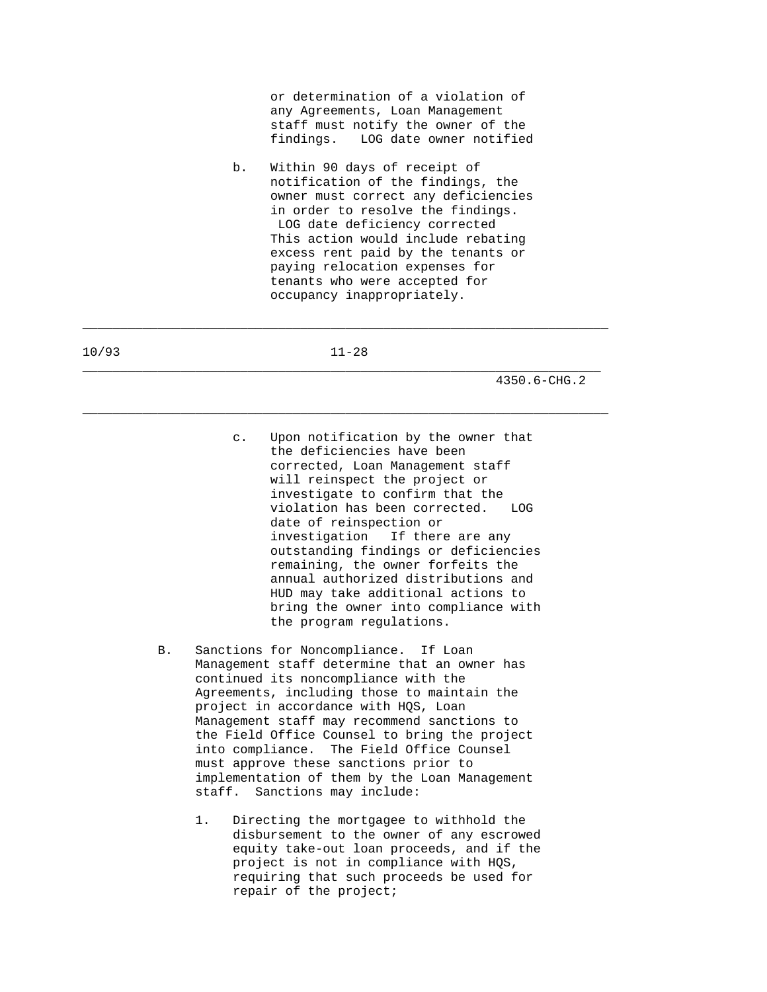or determination of a violation of any Agreements, Loan Management staff must notify the owner of the findings. LOG date owner notified

 b. Within 90 days of receipt of notification of the findings, the owner must correct any deficiencies in order to resolve the findings. LOG date deficiency corrected This action would include rebating excess rent paid by the tenants or paying relocation expenses for tenants who were accepted for occupancy inappropriately.

10/93 11-28 \_\_\_\_\_\_\_\_\_\_\_\_\_\_\_\_\_\_\_\_\_\_\_\_\_\_\_\_\_\_\_\_\_\_\_\_\_\_\_\_\_\_\_\_\_\_\_\_\_\_\_\_\_\_\_\_\_\_\_\_\_\_\_\_\_\_\_\_\_

\_\_\_\_\_\_\_\_\_\_\_\_\_\_\_\_\_\_\_\_\_\_\_\_\_\_\_\_\_\_\_\_\_\_\_\_\_\_\_\_\_\_\_\_\_\_\_\_\_\_\_\_\_\_\_\_\_\_\_\_\_\_\_\_\_\_\_\_\_\_

\_\_\_\_\_\_\_\_\_\_\_\_\_\_\_\_\_\_\_\_\_\_\_\_\_\_\_\_\_\_\_\_\_\_\_\_\_\_\_\_\_\_\_\_\_\_\_\_\_\_\_\_\_\_\_\_\_\_\_\_\_\_\_\_\_\_\_\_\_\_

- c. Upon notification by the owner that the deficiencies have been corrected, Loan Management staff will reinspect the project or investigate to confirm that the violation has been corrected. LOG date of reinspection or investigation If there are any outstanding findings or deficiencies remaining, the owner forfeits the annual authorized distributions and HUD may take additional actions to bring the owner into compliance with the program regulations.
- B. Sanctions for Noncompliance. If Loan Management staff determine that an owner has continued its noncompliance with the Agreements, including those to maintain the project in accordance with HQS, Loan Management staff may recommend sanctions to the Field Office Counsel to bring the project into compliance. The Field Office Counsel must approve these sanctions prior to implementation of them by the Loan Management staff. Sanctions may include:
	- 1. Directing the mortgagee to withhold the disbursement to the owner of any escrowed equity take-out loan proceeds, and if the project is not in compliance with HQS, requiring that such proceeds be used for repair of the project;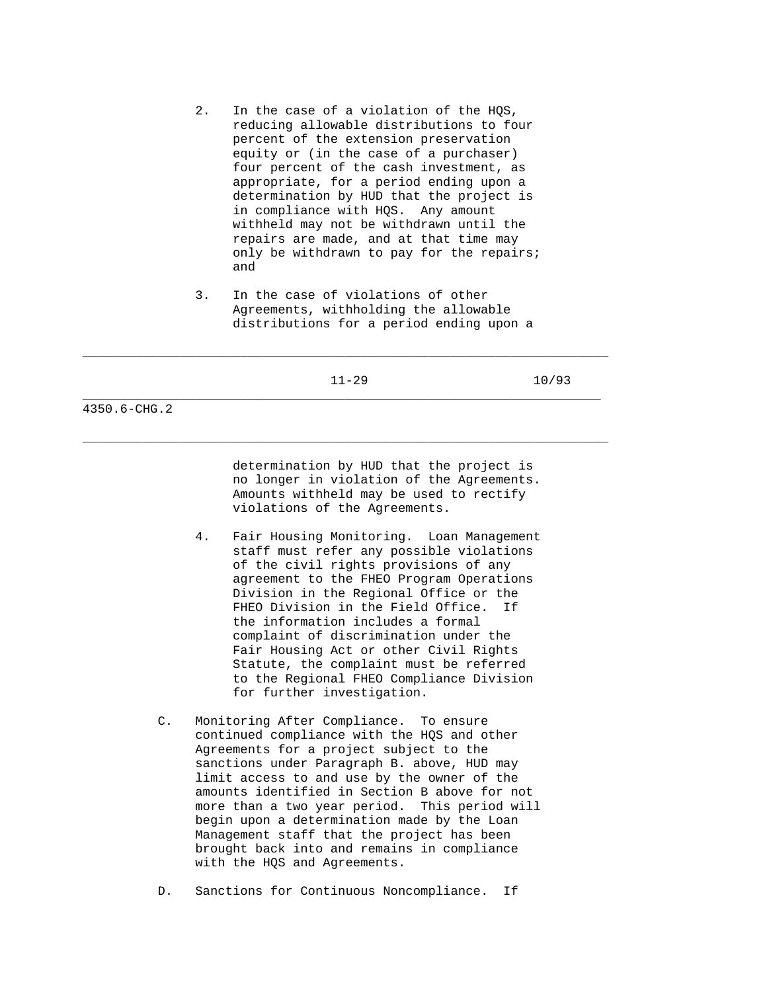- 2. In the case of a violation of the HQS, reducing allowable distributions to four percent of the extension preservation equity or (in the case of a purchaser) four percent of the cash investment, as appropriate, for a period ending upon a determination by HUD that the project is in compliance with HQS. Any amount withheld may not be withdrawn until the repairs are made, and at that time may only be withdrawn to pay for the repairs; and
- 3. In the case of violations of other Agreements, withholding the allowable distributions for a period ending upon a

\_\_\_\_\_\_\_\_\_\_\_\_\_\_\_\_\_\_\_\_\_\_\_\_\_\_\_\_\_\_\_\_\_\_\_\_\_\_\_\_\_\_\_\_\_\_\_\_\_\_\_\_\_\_\_\_\_\_\_\_\_\_\_\_\_\_\_\_\_\_

\_\_\_\_\_\_\_\_\_\_\_\_\_\_\_\_\_\_\_\_\_\_\_\_\_\_\_\_\_\_\_\_\_\_\_\_\_\_\_\_\_\_\_\_\_\_\_\_\_\_\_\_\_\_\_\_\_\_\_\_\_\_\_\_\_\_\_\_\_\_

 determination by HUD that the project is no longer in violation of the Agreements. Amounts withheld may be used to rectify violations of the Agreements.

- 4. Fair Housing Monitoring. Loan Management staff must refer any possible violations of the civil rights provisions of any agreement to the FHEO Program Operations Division in the Regional Office or the FHEO Division in the Field Office. If the information includes a formal complaint of discrimination under the Fair Housing Act or other Civil Rights Statute, the complaint must be referred to the Regional FHEO Compliance Division for further investigation.
- C. Monitoring After Compliance. To ensure continued compliance with the HQS and other Agreements for a project subject to the sanctions under Paragraph B. above, HUD may limit access to and use by the owner of the amounts identified in Section B above for not more than a two year period. This period will begin upon a determination made by the Loan Management staff that the project has been brought back into and remains in compliance with the HQS and Agreements.
- D. Sanctions for Continuous Noncompliance. If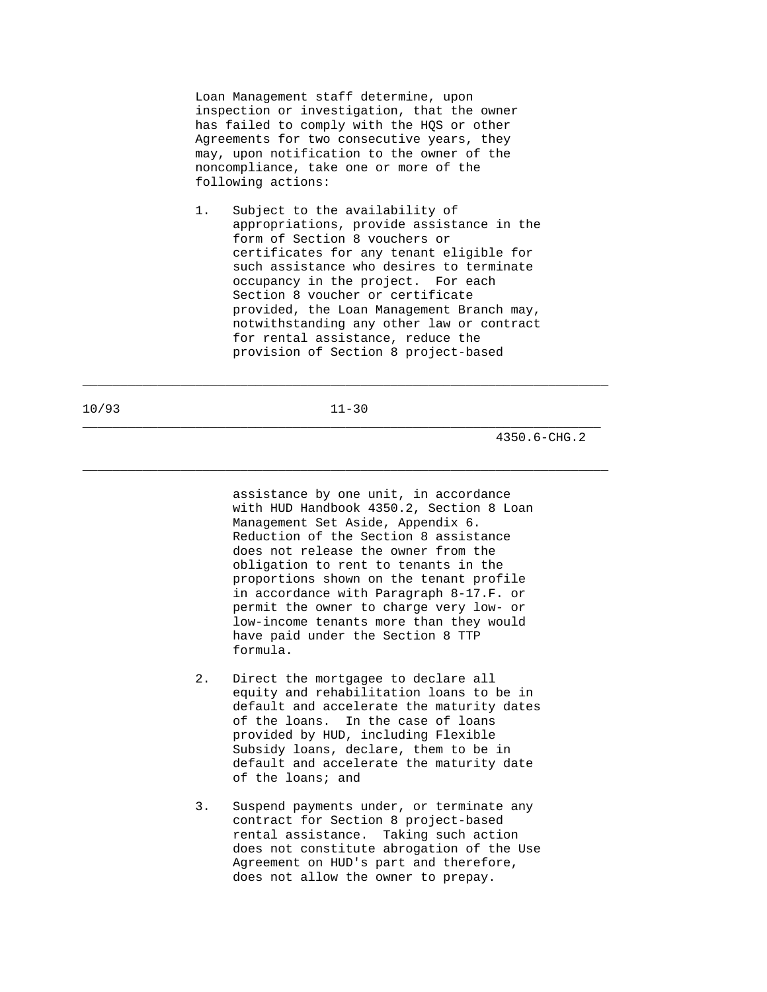Loan Management staff determine, upon inspection or investigation, that the owner has failed to comply with the HQS or other Agreements for two consecutive years, they may, upon notification to the owner of the noncompliance, take one or more of the following actions:

 1. Subject to the availability of appropriations, provide assistance in the form of Section 8 vouchers or certificates for any tenant eligible for such assistance who desires to terminate occupancy in the project. For each Section 8 voucher or certificate provided, the Loan Management Branch may, notwithstanding any other law or contract for rental assistance, reduce the provision of Section 8 project-based

10/93 11-30 \_\_\_\_\_\_\_\_\_\_\_\_\_\_\_\_\_\_\_\_\_\_\_\_\_\_\_\_\_\_\_\_\_\_\_\_\_\_\_\_\_\_\_\_\_\_\_\_\_\_\_\_\_\_\_\_\_\_\_\_\_\_\_\_\_\_\_\_\_

\_\_\_\_\_\_\_\_\_\_\_\_\_\_\_\_\_\_\_\_\_\_\_\_\_\_\_\_\_\_\_\_\_\_\_\_\_\_\_\_\_\_\_\_\_\_\_\_\_\_\_\_\_\_\_\_\_\_\_\_\_\_\_\_\_\_\_\_\_\_

\_\_\_\_\_\_\_\_\_\_\_\_\_\_\_\_\_\_\_\_\_\_\_\_\_\_\_\_\_\_\_\_\_\_\_\_\_\_\_\_\_\_\_\_\_\_\_\_\_\_\_\_\_\_\_\_\_\_\_\_\_\_\_\_\_\_\_\_\_\_

4350.6-CHG.2

 assistance by one unit, in accordance with HUD Handbook 4350.2, Section 8 Loan Management Set Aside, Appendix 6. Reduction of the Section 8 assistance does not release the owner from the obligation to rent to tenants in the proportions shown on the tenant profile in accordance with Paragraph 8-17.F. or permit the owner to charge very low- or low-income tenants more than they would have paid under the Section 8 TTP formula.

- 2. Direct the mortgagee to declare all equity and rehabilitation loans to be in default and accelerate the maturity dates of the loans. In the case of loans provided by HUD, including Flexible Subsidy loans, declare, them to be in default and accelerate the maturity date of the loans; and
- 3. Suspend payments under, or terminate any contract for Section 8 project-based rental assistance. Taking such action does not constitute abrogation of the Use Agreement on HUD's part and therefore, does not allow the owner to prepay.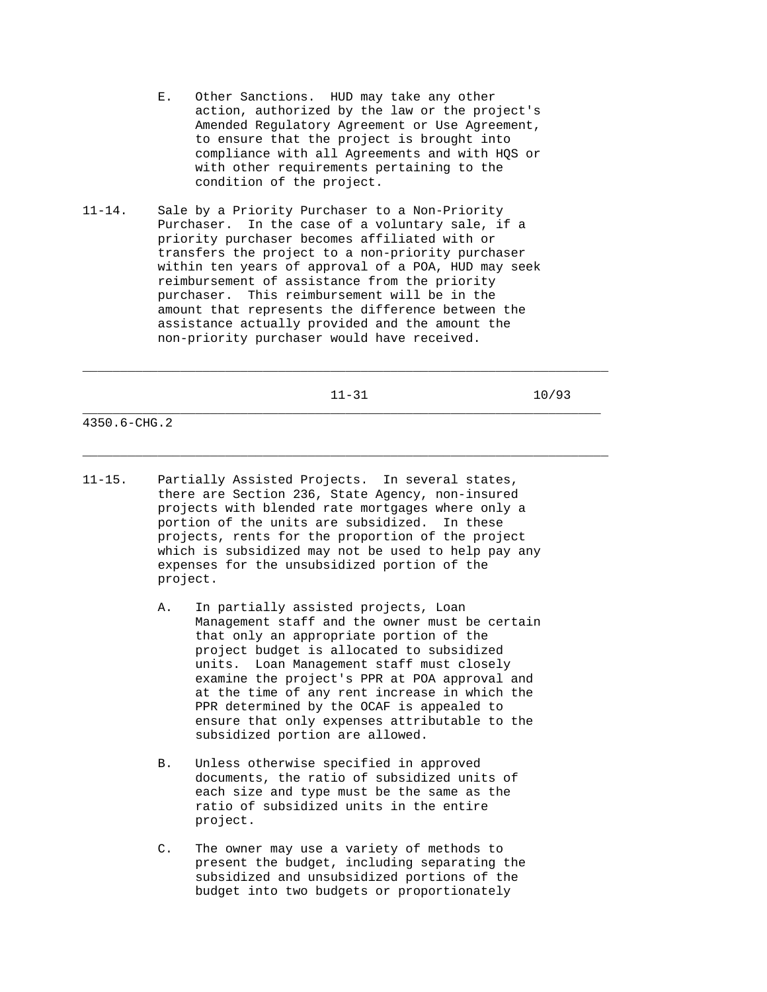- E. Other Sanctions. HUD may take any other action, authorized by the law or the project's Amended Regulatory Agreement or Use Agreement, to ensure that the project is brought into compliance with all Agreements and with HQS or with other requirements pertaining to the condition of the project.
- 11-14. Sale by a Priority Purchaser to a Non-Priority Purchaser. In the case of a voluntary sale, if a priority purchaser becomes affiliated with or transfers the project to a non-priority purchaser within ten years of approval of a POA, HUD may seek reimbursement of assistance from the priority purchaser. This reimbursement will be in the amount that represents the difference between the assistance actually provided and the amount the non-priority purchaser would have received.

\_\_\_\_\_\_\_\_\_\_\_\_\_\_\_\_\_\_\_\_\_\_\_\_\_\_\_\_\_\_\_\_\_\_\_\_\_\_\_\_\_\_\_\_\_\_\_\_\_\_\_\_\_\_\_\_\_\_\_\_\_\_\_\_\_\_\_\_\_\_

\_\_\_\_\_\_\_\_\_\_\_\_\_\_\_\_\_\_\_\_\_\_\_\_\_\_\_\_\_\_\_\_\_\_\_\_\_\_\_\_\_\_\_\_\_\_\_\_\_\_\_\_\_\_\_\_\_\_\_\_\_\_\_\_\_\_\_\_\_\_

- 11-15. Partially Assisted Projects. In several states, there are Section 236, State Agency, non-insured projects with blended rate mortgages where only a portion of the units are subsidized. In these projects, rents for the proportion of the project which is subsidized may not be used to help pay any expenses for the unsubsidized portion of the project.
	- A. In partially assisted projects, Loan Management staff and the owner must be certain that only an appropriate portion of the project budget is allocated to subsidized units. Loan Management staff must closely examine the project's PPR at POA approval and at the time of any rent increase in which the PPR determined by the OCAF is appealed to ensure that only expenses attributable to the subsidized portion are allowed.
	- B. Unless otherwise specified in approved documents, the ratio of subsidized units of each size and type must be the same as the ratio of subsidized units in the entire project.
	- C. The owner may use a variety of methods to present the budget, including separating the subsidized and unsubsidized portions of the budget into two budgets or proportionately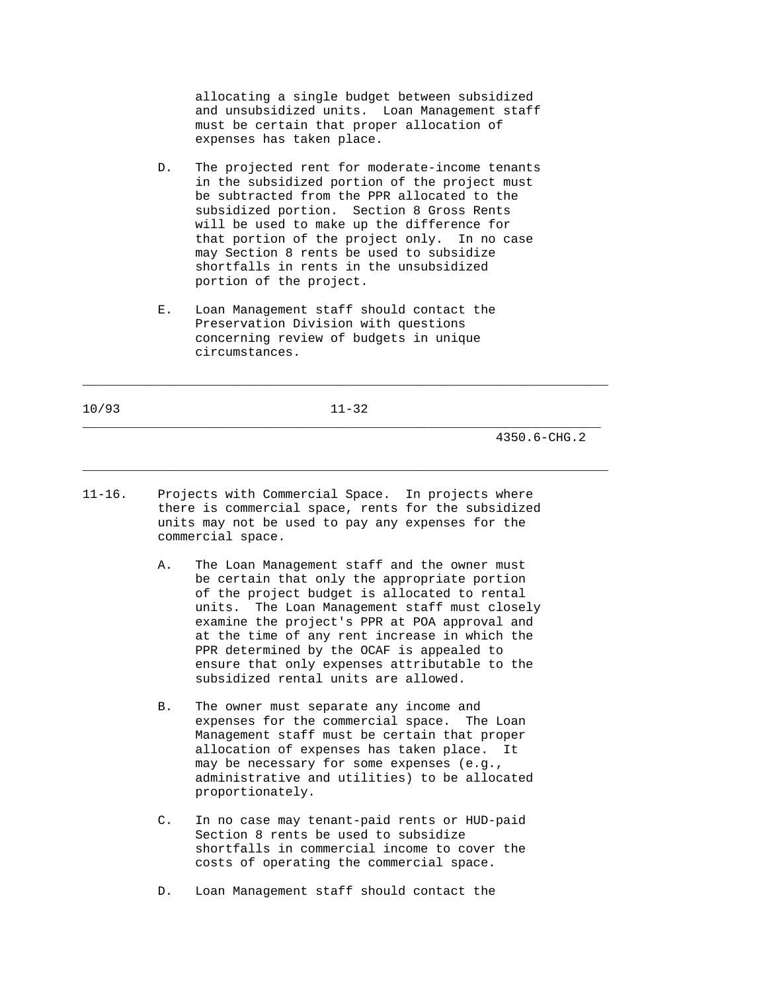allocating a single budget between subsidized and unsubsidized units. Loan Management staff must be certain that proper allocation of expenses has taken place.

- D. The projected rent for moderate-income tenants in the subsidized portion of the project must be subtracted from the PPR allocated to the subsidized portion. Section 8 Gross Rents will be used to make up the difference for that portion of the project only. In no case may Section 8 rents be used to subsidize shortfalls in rents in the unsubsidized portion of the project.
- E. Loan Management staff should contact the Preservation Division with questions concerning review of budgets in unique circumstances.

10/93 11-32 \_\_\_\_\_\_\_\_\_\_\_\_\_\_\_\_\_\_\_\_\_\_\_\_\_\_\_\_\_\_\_\_\_\_\_\_\_\_\_\_\_\_\_\_\_\_\_\_\_\_\_\_\_\_\_\_\_\_\_\_\_\_\_\_\_\_\_\_\_

\_\_\_\_\_\_\_\_\_\_\_\_\_\_\_\_\_\_\_\_\_\_\_\_\_\_\_\_\_\_\_\_\_\_\_\_\_\_\_\_\_\_\_\_\_\_\_\_\_\_\_\_\_\_\_\_\_\_\_\_\_\_\_\_\_\_\_\_\_\_

\_\_\_\_\_\_\_\_\_\_\_\_\_\_\_\_\_\_\_\_\_\_\_\_\_\_\_\_\_\_\_\_\_\_\_\_\_\_\_\_\_\_\_\_\_\_\_\_\_\_\_\_\_\_\_\_\_\_\_\_\_\_\_\_\_\_\_\_\_\_

- 11-16. Projects with Commercial Space. In projects where there is commercial space, rents for the subsidized units may not be used to pay any expenses for the commercial space.
	- A. The Loan Management staff and the owner must be certain that only the appropriate portion of the project budget is allocated to rental units. The Loan Management staff must closely examine the project's PPR at POA approval and at the time of any rent increase in which the PPR determined by the OCAF is appealed to ensure that only expenses attributable to the subsidized rental units are allowed.
	- B. The owner must separate any income and expenses for the commercial space. The Loan Management staff must be certain that proper allocation of expenses has taken place. It may be necessary for some expenses (e.g., administrative and utilities) to be allocated proportionately.
	- C. In no case may tenant-paid rents or HUD-paid Section 8 rents be used to subsidize shortfalls in commercial income to cover the costs of operating the commercial space.
	- D. Loan Management staff should contact the